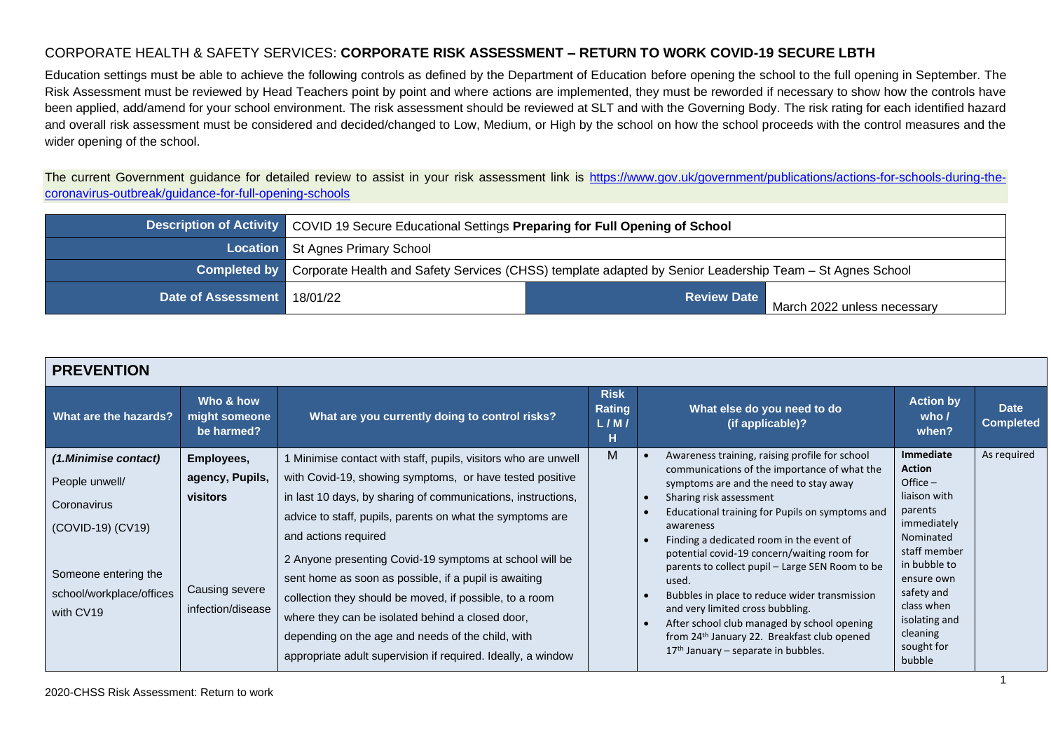Education settings must be able to achieve the following controls as defined by the Department of Education before opening the school to the full opening in September. The Risk Assessment must be reviewed by Head Teachers point by point and where actions are implemented, they must be reworded if necessary to show how the controls have been applied, add/amend for your school environment. The risk assessment should be reviewed at SLT and with the Governing Body. The risk rating for each identified hazard and overall risk assessment must be considered and decided/changed to Low, Medium, or High by the school on how the school proceeds with the control measures and the wider opening of the school.

The current Government guidance for detailed review to assist in your risk assessment link is [https://www.gov.uk/government/publications/actions-for-schools-during-the](https://www.gov.uk/government/publications/actions-for-schools-during-the-coronavirus-outbreak/guidance-for-full-opening-schools)[coronavirus-outbreak/guidance-for-full-opening-schools](https://www.gov.uk/government/publications/actions-for-schools-during-the-coronavirus-outbreak/guidance-for-full-opening-schools)

|                               | Description of Activity COVID 19 Secure Educational Settings Preparing for Full Opening of School |                                                                                                                       |                             |  |  |
|-------------------------------|---------------------------------------------------------------------------------------------------|-----------------------------------------------------------------------------------------------------------------------|-----------------------------|--|--|
|                               | <b>Location</b> St Agnes Primary School                                                           |                                                                                                                       |                             |  |  |
|                               |                                                                                                   | Completed by Corporate Health and Safety Services (CHSS) template adapted by Senior Leadership Team - St Agnes School |                             |  |  |
| Date of Assessment   18/01/22 |                                                                                                   | <b>Review Date</b>                                                                                                    | March 2022 unless necessary |  |  |

| <b>PREVENTION</b>                         |                                          |                                                                                                                                                                                                                                  |                                           |                                                                                                                                                                                                                                      |                                                                               |                                 |
|-------------------------------------------|------------------------------------------|----------------------------------------------------------------------------------------------------------------------------------------------------------------------------------------------------------------------------------|-------------------------------------------|--------------------------------------------------------------------------------------------------------------------------------------------------------------------------------------------------------------------------------------|-------------------------------------------------------------------------------|---------------------------------|
| What are the hazards?                     | Who & how<br>might someone<br>be harmed? | What are you currently doing to control risks?                                                                                                                                                                                   | <b>Risk</b><br><b>Rating</b><br>L/M/<br>н | What else do you need to do<br>(if applicable)?                                                                                                                                                                                      | <b>Action by</b><br>who $\prime$<br>when?                                     | <b>Date</b><br><b>Completed</b> |
| (1.Minimise contact)                      | Employees,                               | 1 Minimise contact with staff, pupils, visitors who are unwell                                                                                                                                                                   | M                                         | Awareness training, raising profile for school<br>communications of the importance of what the                                                                                                                                       | Immediate<br>Action                                                           | As required                     |
| People unwell/                            | agency, Pupils,                          | with Covid-19, showing symptoms, or have tested positive                                                                                                                                                                         |                                           | symptoms are and the need to stay away                                                                                                                                                                                               | Office $-$                                                                    |                                 |
| Coronavirus                               | <b>visitors</b>                          | in last 10 days, by sharing of communications, instructions,                                                                                                                                                                     |                                           | Sharing risk assessment                                                                                                                                                                                                              | liaison with<br>parents                                                       |                                 |
| (COVID-19) (CV19)<br>Someone entering the | Causing severe                           | advice to staff, pupils, parents on what the symptoms are<br>and actions required<br>2 Anyone presenting Covid-19 symptoms at school will be<br>sent home as soon as possible, if a pupil is awaiting                            |                                           | Educational training for Pupils on symptoms and<br>awareness<br>Finding a dedicated room in the event of<br>potential covid-19 concern/waiting room for<br>parents to collect pupil - Large SEN Room to be<br>used.                  | immediately<br>Nominated<br>staff member<br>in bubble to<br>ensure own        |                                 |
| school/workplace/offices<br>with CV19     | infection/disease                        | collection they should be moved, if possible, to a room<br>where they can be isolated behind a closed door,<br>depending on the age and needs of the child, with<br>appropriate adult supervision if required. Ideally, a window |                                           | Bubbles in place to reduce wider transmission<br>and very limited cross bubbling.<br>After school club managed by school opening<br>from 24 <sup>th</sup> January 22. Breakfast club opened<br>$17th$ January – separate in bubbles. | safety and<br>class when<br>isolating and<br>cleaning<br>sought for<br>bubble |                                 |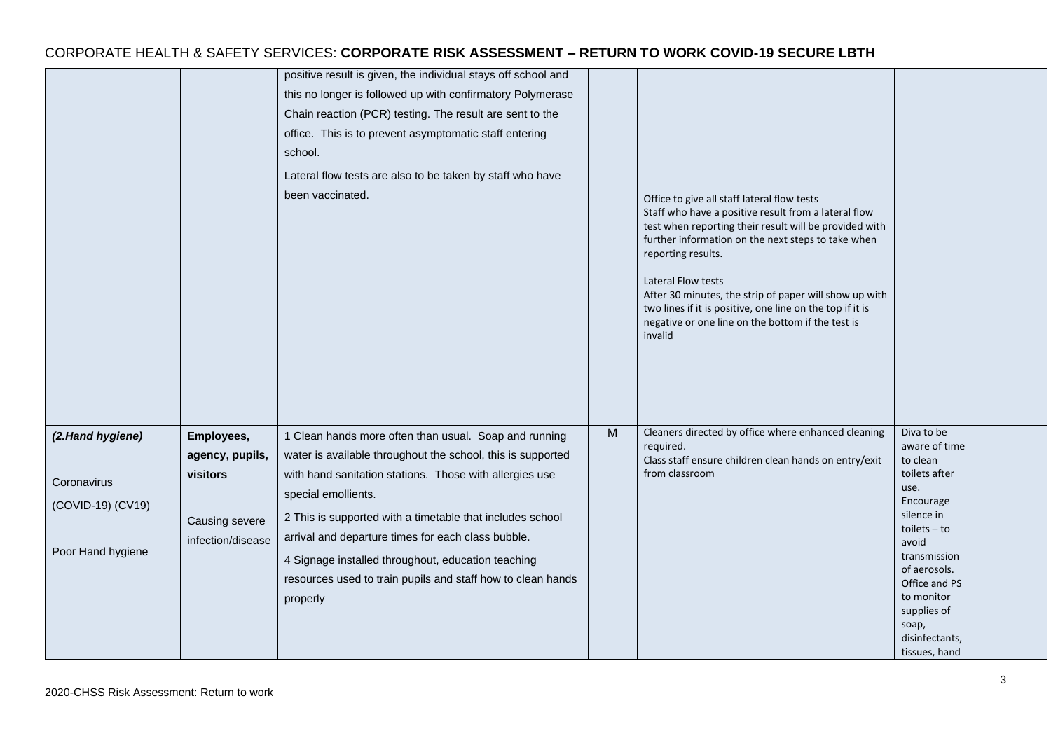|                                                                           |                                                                                  | positive result is given, the individual stays off school and<br>this no longer is followed up with confirmatory Polymerase<br>Chain reaction (PCR) testing. The result are sent to the<br>office. This is to prevent asymptomatic staff entering<br>school.<br>Lateral flow tests are also to be taken by staff who have<br>been vaccinated.                                                                                                              |   | Office to give all staff lateral flow tests<br>Staff who have a positive result from a lateral flow<br>test when reporting their result will be provided with<br>further information on the next steps to take when<br>reporting results.<br><b>Lateral Flow tests</b><br>After 30 minutes, the strip of paper will show up with<br>two lines if it is positive, one line on the top if it is<br>negative or one line on the bottom if the test is<br>invalid |                                                                                                                                                                                                                                                     |  |
|---------------------------------------------------------------------------|----------------------------------------------------------------------------------|------------------------------------------------------------------------------------------------------------------------------------------------------------------------------------------------------------------------------------------------------------------------------------------------------------------------------------------------------------------------------------------------------------------------------------------------------------|---|---------------------------------------------------------------------------------------------------------------------------------------------------------------------------------------------------------------------------------------------------------------------------------------------------------------------------------------------------------------------------------------------------------------------------------------------------------------|-----------------------------------------------------------------------------------------------------------------------------------------------------------------------------------------------------------------------------------------------------|--|
| (2.Hand hygiene)<br>Coronavirus<br>(COVID-19) (CV19)<br>Poor Hand hygiene | Employees,<br>agency, pupils,<br>visitors<br>Causing severe<br>infection/disease | 1 Clean hands more often than usual. Soap and running<br>water is available throughout the school, this is supported<br>with hand sanitation stations. Those with allergies use<br>special emollients.<br>2 This is supported with a timetable that includes school<br>arrival and departure times for each class bubble.<br>4 Signage installed throughout, education teaching<br>resources used to train pupils and staff how to clean hands<br>properly | M | Cleaners directed by office where enhanced cleaning<br>required.<br>Class staff ensure children clean hands on entry/exit<br>from classroom                                                                                                                                                                                                                                                                                                                   | Diva to be<br>aware of time<br>to clean<br>toilets after<br>use.<br>Encourage<br>silence in<br>$to$ ilets $-$ to<br>avoid<br>transmission<br>of aerosols.<br>Office and PS<br>to monitor<br>supplies of<br>soap,<br>disinfectants,<br>tissues, hand |  |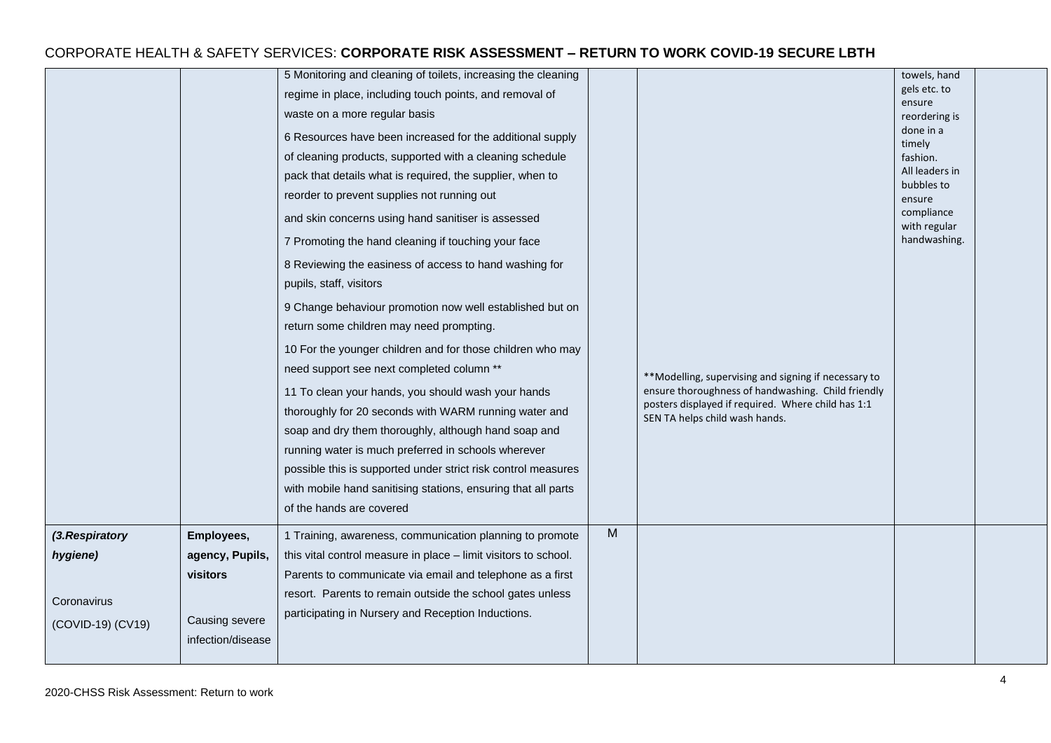|                   |                                     | 5 Monitoring and cleaning of toilets, increasing the cleaning<br>regime in place, including touch points, and removal of<br>waste on a more regular basis<br>6 Resources have been increased for the additional supply<br>of cleaning products, supported with a cleaning schedule<br>pack that details what is required, the supplier, when to<br>reorder to prevent supplies not running out<br>and skin concerns using hand sanitiser is assessed<br>7 Promoting the hand cleaning if touching your face<br>8 Reviewing the easiness of access to hand washing for<br>pupils, staff, visitors<br>9 Change behaviour promotion now well established but on<br>return some children may need prompting.<br>10 For the younger children and for those children who may<br>need support see next completed column **<br>11 To clean your hands, you should wash your hands<br>thoroughly for 20 seconds with WARM running water and<br>soap and dry them thoroughly, although hand soap and<br>running water is much preferred in schools wherever<br>possible this is supported under strict risk control measures<br>with mobile hand sanitising stations, ensuring that all parts<br>of the hands are covered |   | ** Modelling, supervising and signing if necessary to<br>ensure thoroughness of handwashing. Child friendly<br>posters displayed if required. Where child has 1:1<br>SEN TA helps child wash hands. | towels, hand<br>gels etc. to<br>ensure<br>reordering is<br>done in a<br>timely<br>fashion.<br>All leaders in<br>bubbles to<br>ensure<br>compliance<br>with regular<br>handwashing. |  |
|-------------------|-------------------------------------|-----------------------------------------------------------------------------------------------------------------------------------------------------------------------------------------------------------------------------------------------------------------------------------------------------------------------------------------------------------------------------------------------------------------------------------------------------------------------------------------------------------------------------------------------------------------------------------------------------------------------------------------------------------------------------------------------------------------------------------------------------------------------------------------------------------------------------------------------------------------------------------------------------------------------------------------------------------------------------------------------------------------------------------------------------------------------------------------------------------------------------------------------------------------------------------------------------------------|---|-----------------------------------------------------------------------------------------------------------------------------------------------------------------------------------------------------|------------------------------------------------------------------------------------------------------------------------------------------------------------------------------------|--|
| (3.Respiratory    | Employees,                          | 1 Training, awareness, communication planning to promote                                                                                                                                                                                                                                                                                                                                                                                                                                                                                                                                                                                                                                                                                                                                                                                                                                                                                                                                                                                                                                                                                                                                                        | M |                                                                                                                                                                                                     |                                                                                                                                                                                    |  |
| hygiene)          | agency, Pupils,                     | this vital control measure in place - limit visitors to school.                                                                                                                                                                                                                                                                                                                                                                                                                                                                                                                                                                                                                                                                                                                                                                                                                                                                                                                                                                                                                                                                                                                                                 |   |                                                                                                                                                                                                     |                                                                                                                                                                                    |  |
|                   | <b>visitors</b>                     | Parents to communicate via email and telephone as a first                                                                                                                                                                                                                                                                                                                                                                                                                                                                                                                                                                                                                                                                                                                                                                                                                                                                                                                                                                                                                                                                                                                                                       |   |                                                                                                                                                                                                     |                                                                                                                                                                                    |  |
| Coronavirus       |                                     | resort. Parents to remain outside the school gates unless                                                                                                                                                                                                                                                                                                                                                                                                                                                                                                                                                                                                                                                                                                                                                                                                                                                                                                                                                                                                                                                                                                                                                       |   |                                                                                                                                                                                                     |                                                                                                                                                                                    |  |
| (COVID-19) (CV19) | Causing severe<br>infection/disease | participating in Nursery and Reception Inductions.                                                                                                                                                                                                                                                                                                                                                                                                                                                                                                                                                                                                                                                                                                                                                                                                                                                                                                                                                                                                                                                                                                                                                              |   |                                                                                                                                                                                                     |                                                                                                                                                                                    |  |
|                   |                                     |                                                                                                                                                                                                                                                                                                                                                                                                                                                                                                                                                                                                                                                                                                                                                                                                                                                                                                                                                                                                                                                                                                                                                                                                                 |   |                                                                                                                                                                                                     |                                                                                                                                                                                    |  |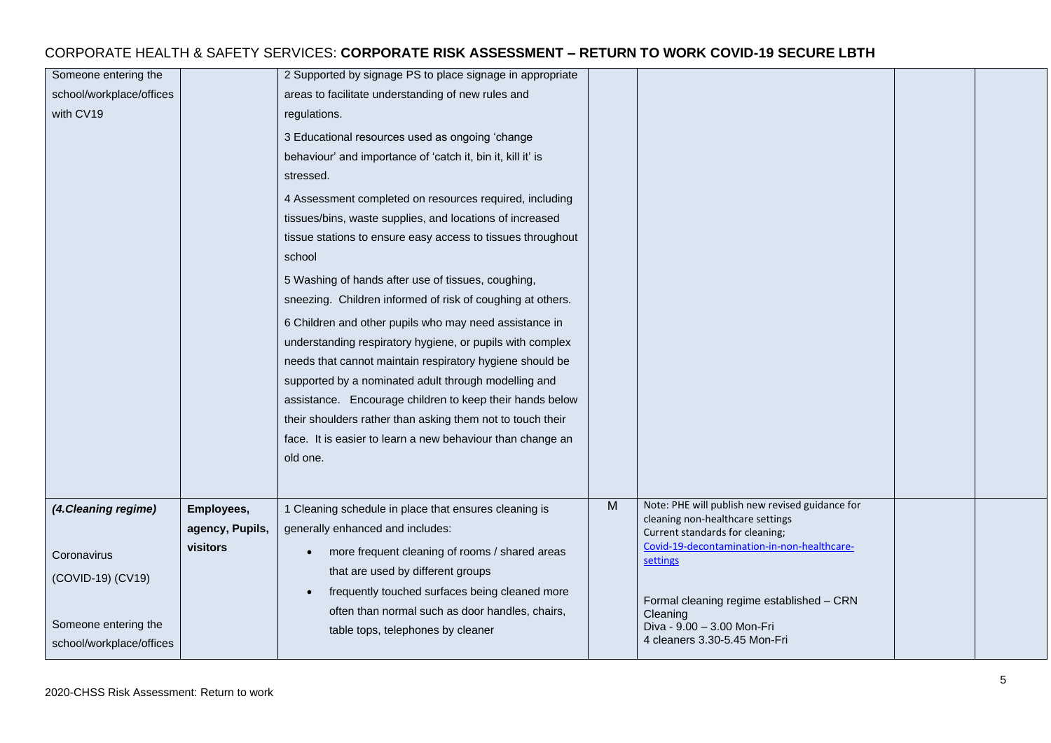| Someone entering the     |                 | 2 Supported by signage PS to place signage in appropriate   |   |                                                                     |  |
|--------------------------|-----------------|-------------------------------------------------------------|---|---------------------------------------------------------------------|--|
| school/workplace/offices |                 | areas to facilitate understanding of new rules and          |   |                                                                     |  |
| with CV19                |                 | regulations.                                                |   |                                                                     |  |
|                          |                 | 3 Educational resources used as ongoing 'change             |   |                                                                     |  |
|                          |                 | behaviour' and importance of 'catch it, bin it, kill it' is |   |                                                                     |  |
|                          |                 | stressed.                                                   |   |                                                                     |  |
|                          |                 | 4 Assessment completed on resources required, including     |   |                                                                     |  |
|                          |                 | tissues/bins, waste supplies, and locations of increased    |   |                                                                     |  |
|                          |                 | tissue stations to ensure easy access to tissues throughout |   |                                                                     |  |
|                          |                 | school                                                      |   |                                                                     |  |
|                          |                 | 5 Washing of hands after use of tissues, coughing,          |   |                                                                     |  |
|                          |                 | sneezing. Children informed of risk of coughing at others.  |   |                                                                     |  |
|                          |                 | 6 Children and other pupils who may need assistance in      |   |                                                                     |  |
|                          |                 | understanding respiratory hygiene, or pupils with complex   |   |                                                                     |  |
|                          |                 | needs that cannot maintain respiratory hygiene should be    |   |                                                                     |  |
|                          |                 | supported by a nominated adult through modelling and        |   |                                                                     |  |
|                          |                 | assistance. Encourage children to keep their hands below    |   |                                                                     |  |
|                          |                 | their shoulders rather than asking them not to touch their  |   |                                                                     |  |
|                          |                 | face. It is easier to learn a new behaviour than change an  |   |                                                                     |  |
|                          |                 | old one.                                                    |   |                                                                     |  |
|                          |                 |                                                             |   |                                                                     |  |
| (4. Cleaning regime)     | Employees,      | 1 Cleaning schedule in place that ensures cleaning is       | M | Note: PHE will publish new revised guidance for                     |  |
|                          | agency, Pupils, | generally enhanced and includes:                            |   | cleaning non-healthcare settings<br>Current standards for cleaning; |  |
|                          | visitors        | more frequent cleaning of rooms / shared areas<br>$\bullet$ |   | Covid-19-decontamination-in-non-healthcare-                         |  |
| Coronavirus              |                 | that are used by different groups                           |   | settings                                                            |  |
| (COVID-19) (CV19)        |                 | frequently touched surfaces being cleaned more              |   |                                                                     |  |
|                          |                 | often than normal such as door handles, chairs,             |   | Formal cleaning regime established - CRN                            |  |
| Someone entering the     |                 | table tops, telephones by cleaner                           |   | Cleaning<br>Diva - 9.00 - 3.00 Mon-Fri                              |  |
| school/workplace/offices |                 |                                                             |   | 4 cleaners 3.30-5.45 Mon-Fri                                        |  |
|                          |                 |                                                             |   |                                                                     |  |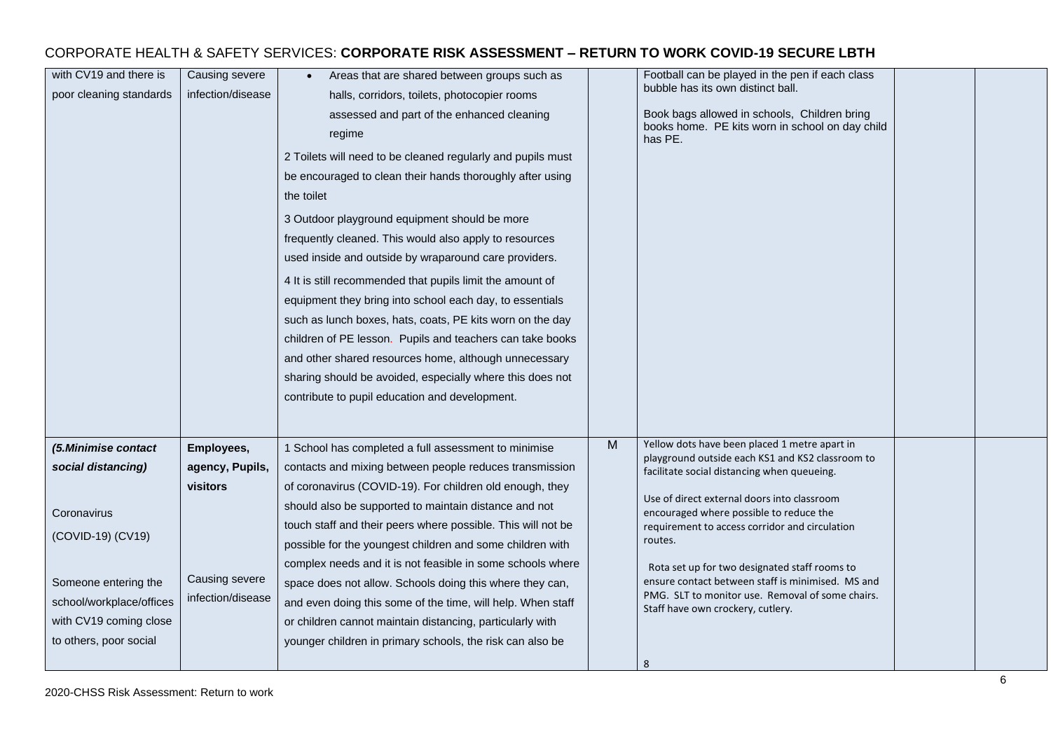| with CV19 and there is<br>poor cleaning standards                                                                                                                                     | Causing severe<br>infection/disease                                              | Areas that are shared between groups such as<br>halls, corridors, toilets, photocopier rooms<br>assessed and part of the enhanced cleaning<br>regime<br>2 Toilets will need to be cleaned regularly and pupils must<br>be encouraged to clean their hands thoroughly after using<br>the toilet<br>3 Outdoor playground equipment should be more<br>frequently cleaned. This would also apply to resources<br>used inside and outside by wraparound care providers.<br>4 It is still recommended that pupils limit the amount of<br>equipment they bring into school each day, to essentials<br>such as lunch boxes, hats, coats, PE kits worn on the day<br>children of PE lesson. Pupils and teachers can take books<br>and other shared resources home, although unnecessary<br>sharing should be avoided, especially where this does not<br>contribute to pupil education and development. |   | Football can be played in the pen if each class<br>bubble has its own distinct ball.<br>Book bags allowed in schools, Children bring<br>books home. PE kits worn in school on day child<br>has PE.                                                                                                                                                                                                                                                                                                          |  |
|---------------------------------------------------------------------------------------------------------------------------------------------------------------------------------------|----------------------------------------------------------------------------------|-----------------------------------------------------------------------------------------------------------------------------------------------------------------------------------------------------------------------------------------------------------------------------------------------------------------------------------------------------------------------------------------------------------------------------------------------------------------------------------------------------------------------------------------------------------------------------------------------------------------------------------------------------------------------------------------------------------------------------------------------------------------------------------------------------------------------------------------------------------------------------------------------|---|-------------------------------------------------------------------------------------------------------------------------------------------------------------------------------------------------------------------------------------------------------------------------------------------------------------------------------------------------------------------------------------------------------------------------------------------------------------------------------------------------------------|--|
| (5.Minimise contact<br>social distancing)<br>Coronavirus<br>(COVID-19) (CV19)<br>Someone entering the<br>school/workplace/offices<br>with CV19 coming close<br>to others, poor social | Employees,<br>agency, Pupils,<br>visitors<br>Causing severe<br>infection/disease | 1 School has completed a full assessment to minimise<br>contacts and mixing between people reduces transmission<br>of coronavirus (COVID-19). For children old enough, they<br>should also be supported to maintain distance and not<br>touch staff and their peers where possible. This will not be<br>possible for the youngest children and some children with<br>complex needs and it is not feasible in some schools where<br>space does not allow. Schools doing this where they can,<br>and even doing this some of the time, will help. When staff<br>or children cannot maintain distancing, particularly with<br>younger children in primary schools, the risk can also be                                                                                                                                                                                                          | M | Yellow dots have been placed 1 metre apart in<br>playground outside each KS1 and KS2 classroom to<br>facilitate social distancing when queueing.<br>Use of direct external doors into classroom<br>encouraged where possible to reduce the<br>requirement to access corridor and circulation<br>routes.<br>Rota set up for two designated staff rooms to<br>ensure contact between staff is minimised. MS and<br>PMG. SLT to monitor use. Removal of some chairs.<br>Staff have own crockery, cutlery.<br>8 |  |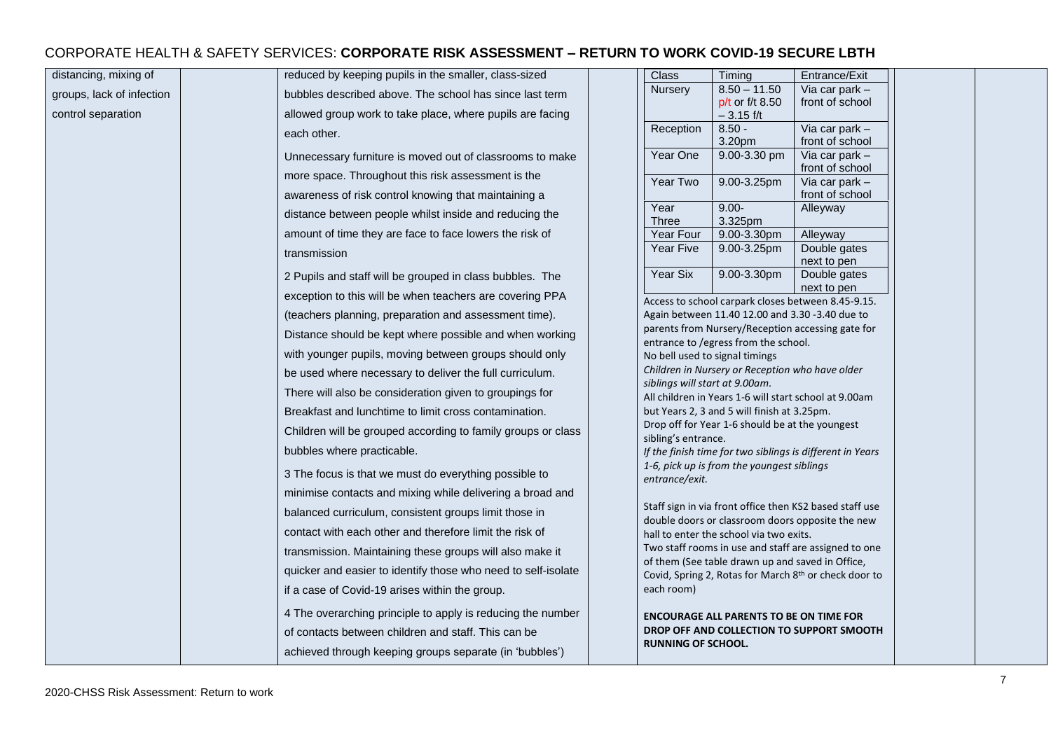| distancing, mixing of     | reduced by keeping pupils in the smaller, class-sized         | Class                          | Timing                                                | Entrance/Exit                                             |
|---------------------------|---------------------------------------------------------------|--------------------------------|-------------------------------------------------------|-----------------------------------------------------------|
| groups, lack of infection | bubbles described above. The school has since last term       | Nursery                        | $8.50 - 11.50$<br>p/t or f/t 8.50                     | Via car park -<br>front of school                         |
| control separation        | allowed group work to take place, where pupils are facing     |                                | $-3.15$ f/t                                           |                                                           |
|                           | each other.                                                   | Reception                      | $8.50 -$<br>3.20pm                                    | Via car park $-$<br>front of school                       |
|                           | Unnecessary furniture is moved out of classrooms to make      | Year One                       | 9.00-3.30 pm                                          | Via car park $-$                                          |
|                           | more space. Throughout this risk assessment is the            | Year Two                       | 9.00-3.25pm                                           | front of school<br>Via car park -                         |
|                           | awareness of risk control knowing that maintaining a          |                                |                                                       | front of school                                           |
|                           | distance between people whilst inside and reducing the        | Year<br>Three                  | $9.00 -$<br>3.325pm                                   | Alleyway                                                  |
|                           | amount of time they are face to face lowers the risk of       | Year Four                      | 9.00-3.30pm                                           | Alleyway                                                  |
|                           | transmission                                                  | Year Five                      | $9.00 - 3.25$ pm                                      | Double gates                                              |
|                           | 2 Pupils and staff will be grouped in class bubbles. The      | Year Six                       | 9.00-3.30pm                                           | next to pen<br>Double gates                               |
|                           | exception to this will be when teachers are covering PPA      |                                |                                                       | next to pen                                               |
|                           | (teachers planning, preparation and assessment time).         |                                | Again between 11.40 12.00 and 3.30 -3.40 due to       | Access to school carpark closes between 8.45-9.15.        |
|                           | Distance should be kept where possible and when working       |                                |                                                       | parents from Nursery/Reception accessing gate for         |
|                           |                                                               |                                | entrance to /egress from the school.                  |                                                           |
|                           | with younger pupils, moving between groups should only        | No bell used to signal timings | Children in Nursery or Reception who have older       |                                                           |
|                           | be used where necessary to deliver the full curriculum.       | siblings will start at 9.00am. |                                                       |                                                           |
|                           | There will also be consideration given to groupings for       |                                | All children in Years 1-6 will start school at 9.00am |                                                           |
|                           | Breakfast and lunchtime to limit cross contamination.         |                                | but Years 2, 3 and 5 will finish at 3.25pm.           |                                                           |
|                           | Children will be grouped according to family groups or class  | sibling's entrance.            | Drop off for Year 1-6 should be at the youngest       |                                                           |
|                           | bubbles where practicable.                                    |                                |                                                       | If the finish time for two siblings is different in Years |
|                           | 3 The focus is that we must do everything possible to         | entrance/exit.                 | 1-6, pick up is from the youngest siblings            |                                                           |
|                           | minimise contacts and mixing while delivering a broad and     |                                |                                                       |                                                           |
|                           | balanced curriculum, consistent groups limit those in         |                                |                                                       | Staff sign in via front office then KS2 based staff use   |
|                           | contact with each other and therefore limit the risk of       |                                | hall to enter the school via two exits.               | double doors or classroom doors opposite the new          |
|                           | transmission. Maintaining these groups will also make it      |                                |                                                       | Two staff rooms in use and staff are assigned to one      |
|                           | quicker and easier to identify those who need to self-isolate |                                | of them (See table drawn up and saved in Office,      |                                                           |
|                           | if a case of Covid-19 arises within the group.                | each room)                     |                                                       | Covid, Spring 2, Rotas for March 8th or check door to     |
|                           | 4 The overarching principle to apply is reducing the number   |                                |                                                       |                                                           |
|                           |                                                               |                                | <b>ENCOURAGE ALL PARENTS TO BE ON TIME FOR</b>        | DROP OFF AND COLLECTION TO SUPPORT SMOOTH                 |
|                           | of contacts between children and staff. This can be           | <b>RUNNING OF SCHOOL.</b>      |                                                       |                                                           |
|                           | achieved through keeping groups separate (in 'bubbles')       |                                |                                                       |                                                           |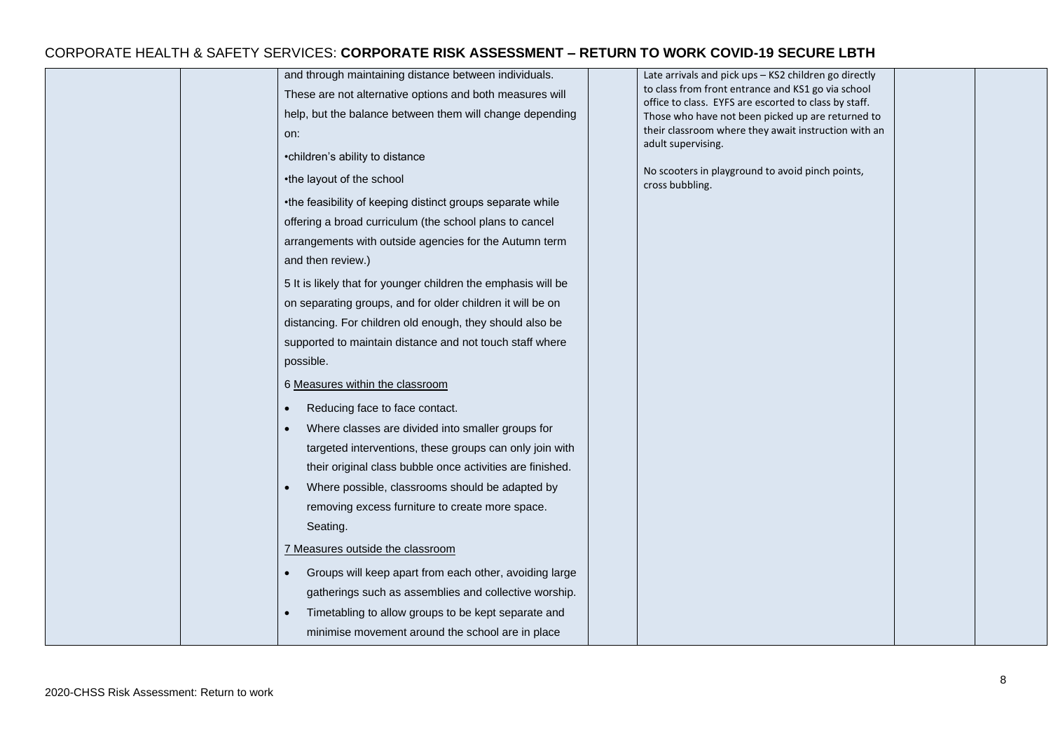| and through maintaining distance between individuals.         | Late arrivals and pick ups - KS2 children go directly                                                       |
|---------------------------------------------------------------|-------------------------------------------------------------------------------------------------------------|
| These are not alternative options and both measures will      | to class from front entrance and KS1 go via school<br>office to class. EYFS are escorted to class by staff. |
| help, but the balance between them will change depending      | Those who have not been picked up are returned to                                                           |
| on:                                                           | their classroom where they await instruction with an                                                        |
| •children's ability to distance                               | adult supervising.                                                                                          |
| •the layout of the school                                     | No scooters in playground to avoid pinch points,<br>cross bubbling.                                         |
| •the feasibility of keeping distinct groups separate while    |                                                                                                             |
| offering a broad curriculum (the school plans to cancel       |                                                                                                             |
| arrangements with outside agencies for the Autumn term        |                                                                                                             |
| and then review.)                                             |                                                                                                             |
| 5 It is likely that for younger children the emphasis will be |                                                                                                             |
| on separating groups, and for older children it will be on    |                                                                                                             |
| distancing. For children old enough, they should also be      |                                                                                                             |
| supported to maintain distance and not touch staff where      |                                                                                                             |
| possible.                                                     |                                                                                                             |
| 6 Measures within the classroom                               |                                                                                                             |
|                                                               |                                                                                                             |
| Reducing face to face contact.                                |                                                                                                             |
| Where classes are divided into smaller groups for             |                                                                                                             |
| targeted interventions, these groups can only join with       |                                                                                                             |
| their original class bubble once activities are finished.     |                                                                                                             |
| Where possible, classrooms should be adapted by               |                                                                                                             |
| removing excess furniture to create more space.               |                                                                                                             |
| Seating.                                                      |                                                                                                             |
| 7 Measures outside the classroom                              |                                                                                                             |
| Groups will keep apart from each other, avoiding large        |                                                                                                             |
| gatherings such as assemblies and collective worship.         |                                                                                                             |
| Timetabling to allow groups to be kept separate and           |                                                                                                             |
| minimise movement around the school are in place              |                                                                                                             |
|                                                               |                                                                                                             |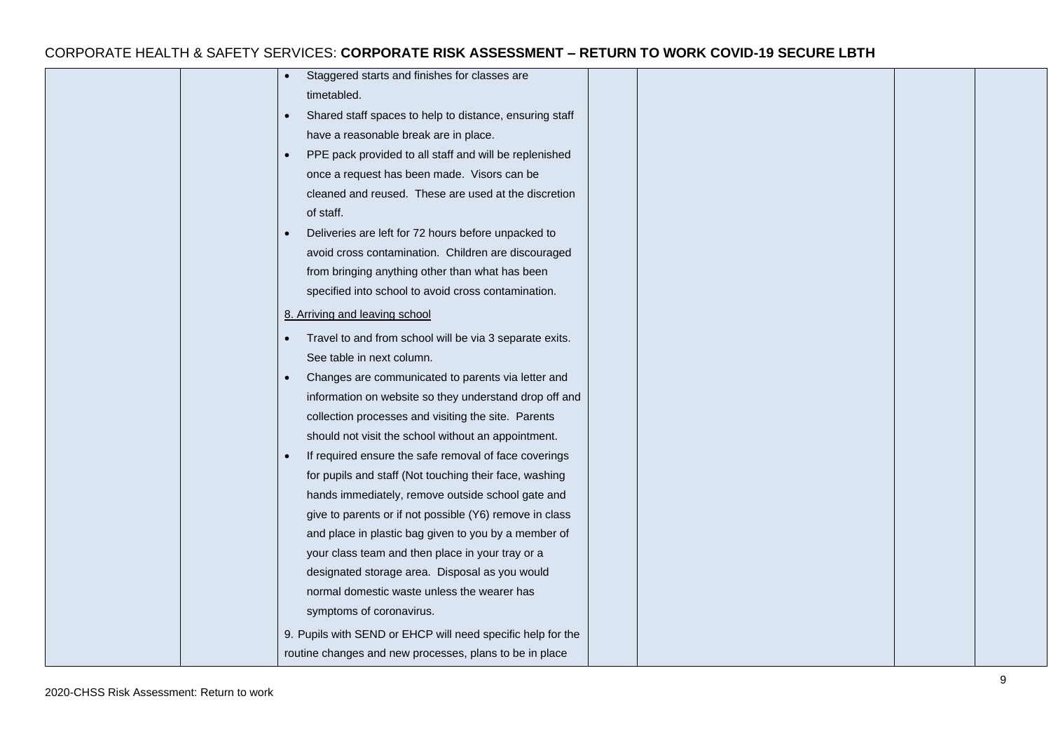| Staggered starts and finishes for classes are                        |  |  |
|----------------------------------------------------------------------|--|--|
| timetabled.                                                          |  |  |
| Shared staff spaces to help to distance, ensuring staff<br>$\bullet$ |  |  |
| have a reasonable break are in place.                                |  |  |
| PPE pack provided to all staff and will be replenished<br>$\bullet$  |  |  |
| once a request has been made. Visors can be                          |  |  |
| cleaned and reused. These are used at the discretion                 |  |  |
| of staff.                                                            |  |  |
| Deliveries are left for 72 hours before unpacked to                  |  |  |
| avoid cross contamination. Children are discouraged                  |  |  |
| from bringing anything other than what has been                      |  |  |
| specified into school to avoid cross contamination.                  |  |  |
| 8. Arriving and leaving school                                       |  |  |
| Travel to and from school will be via 3 separate exits.              |  |  |
| See table in next column.                                            |  |  |
| Changes are communicated to parents via letter and<br>$\bullet$      |  |  |
| information on website so they understand drop off and               |  |  |
| collection processes and visiting the site. Parents                  |  |  |
| should not visit the school without an appointment.                  |  |  |
| If required ensure the safe removal of face coverings<br>$\bullet$   |  |  |
| for pupils and staff (Not touching their face, washing               |  |  |
| hands immediately, remove outside school gate and                    |  |  |
| give to parents or if not possible (Y6) remove in class              |  |  |
| and place in plastic bag given to you by a member of                 |  |  |
| your class team and then place in your tray or a                     |  |  |
| designated storage area. Disposal as you would                       |  |  |
| normal domestic waste unless the wearer has                          |  |  |
| symptoms of coronavirus.                                             |  |  |
| 9. Pupils with SEND or EHCP will need specific help for the          |  |  |
| routine changes and new processes, plans to be in place              |  |  |
|                                                                      |  |  |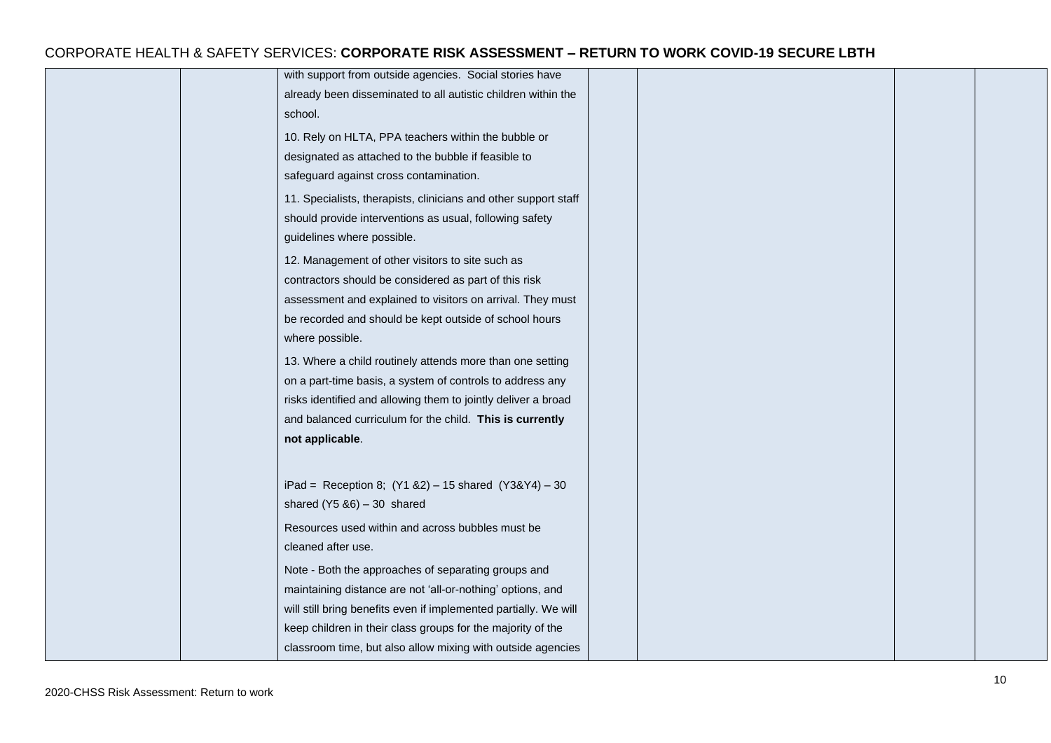|  | with support from outside agencies. Social stories have          |  |  |
|--|------------------------------------------------------------------|--|--|
|  | already been disseminated to all autistic children within the    |  |  |
|  | school.                                                          |  |  |
|  | 10. Rely on HLTA, PPA teachers within the bubble or              |  |  |
|  | designated as attached to the bubble if feasible to              |  |  |
|  | safeguard against cross contamination.                           |  |  |
|  | 11. Specialists, therapists, clinicians and other support staff  |  |  |
|  | should provide interventions as usual, following safety          |  |  |
|  | guidelines where possible.                                       |  |  |
|  | 12. Management of other visitors to site such as                 |  |  |
|  | contractors should be considered as part of this risk            |  |  |
|  | assessment and explained to visitors on arrival. They must       |  |  |
|  | be recorded and should be kept outside of school hours           |  |  |
|  | where possible.                                                  |  |  |
|  | 13. Where a child routinely attends more than one setting        |  |  |
|  | on a part-time basis, a system of controls to address any        |  |  |
|  | risks identified and allowing them to jointly deliver a broad    |  |  |
|  | and balanced curriculum for the child. This is currently         |  |  |
|  | not applicable.                                                  |  |  |
|  |                                                                  |  |  |
|  | iPad = Reception 8; $(Y1 & 82) - 15$ shared $(Y3 & 4) - 30$      |  |  |
|  | shared $(Y5 & 86) - 30$ shared                                   |  |  |
|  | Resources used within and across bubbles must be                 |  |  |
|  | cleaned after use.                                               |  |  |
|  | Note - Both the approaches of separating groups and              |  |  |
|  | maintaining distance are not 'all-or-nothing' options, and       |  |  |
|  | will still bring benefits even if implemented partially. We will |  |  |
|  | keep children in their class groups for the majority of the      |  |  |
|  | classroom time, but also allow mixing with outside agencies      |  |  |
|  |                                                                  |  |  |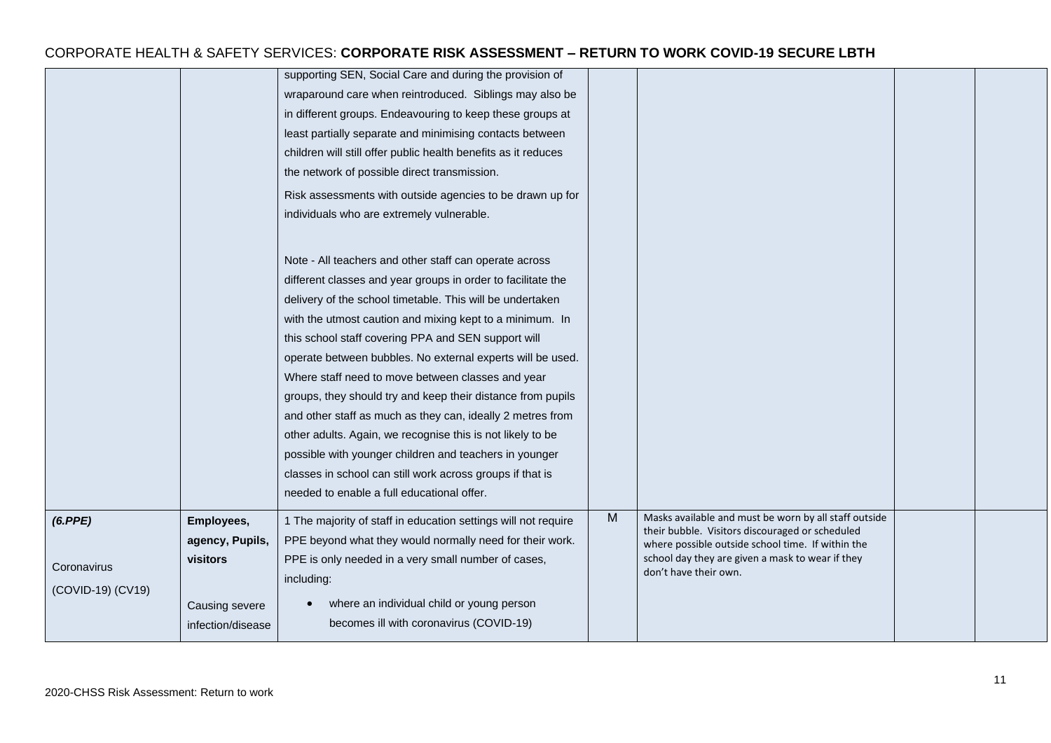|                                             |                                                                                         | supporting SEN, Social Care and during the provision of<br>wraparound care when reintroduced. Siblings may also be<br>in different groups. Endeavouring to keep these groups at<br>least partially separate and minimising contacts between<br>children will still offer public health benefits as it reduces<br>the network of possible direct transmission.<br>Risk assessments with outside agencies to be drawn up for<br>individuals who are extremely vulnerable.                                                                                                                                                                                                                                                                                                                   |   |                                                                                                                                                                                                                                            |  |
|---------------------------------------------|-----------------------------------------------------------------------------------------|-------------------------------------------------------------------------------------------------------------------------------------------------------------------------------------------------------------------------------------------------------------------------------------------------------------------------------------------------------------------------------------------------------------------------------------------------------------------------------------------------------------------------------------------------------------------------------------------------------------------------------------------------------------------------------------------------------------------------------------------------------------------------------------------|---|--------------------------------------------------------------------------------------------------------------------------------------------------------------------------------------------------------------------------------------------|--|
|                                             |                                                                                         | Note - All teachers and other staff can operate across<br>different classes and year groups in order to facilitate the<br>delivery of the school timetable. This will be undertaken<br>with the utmost caution and mixing kept to a minimum. In<br>this school staff covering PPA and SEN support will<br>operate between bubbles. No external experts will be used.<br>Where staff need to move between classes and year<br>groups, they should try and keep their distance from pupils<br>and other staff as much as they can, ideally 2 metres from<br>other adults. Again, we recognise this is not likely to be<br>possible with younger children and teachers in younger<br>classes in school can still work across groups if that is<br>needed to enable a full educational offer. |   |                                                                                                                                                                                                                                            |  |
| (6.PPE)<br>Coronavirus<br>(COVID-19) (CV19) | Employees,<br>agency, Pupils,<br><b>visitors</b><br>Causing severe<br>infection/disease | 1 The majority of staff in education settings will not require<br>PPE beyond what they would normally need for their work.<br>PPE is only needed in a very small number of cases,<br>including:<br>where an individual child or young person<br>becomes ill with coronavirus (COVID-19)                                                                                                                                                                                                                                                                                                                                                                                                                                                                                                   | M | Masks available and must be worn by all staff outside<br>their bubble. Visitors discouraged or scheduled<br>where possible outside school time. If within the<br>school day they are given a mask to wear if they<br>don't have their own. |  |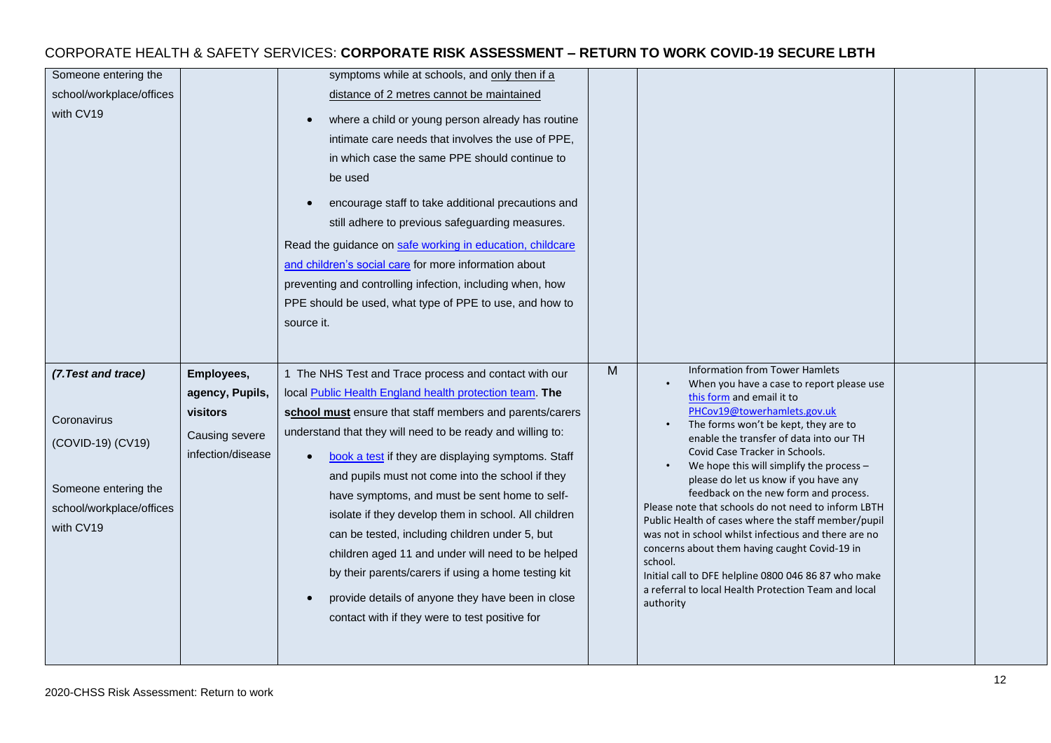#### Someone entering the school/workplace/offices with CV<sub>19</sub> symptoms while at schools, and only then if a distance of 2 metres cannot be maintained where a child or young person already has routine intimate care needs that involves the use of PPE, in which case the same PPE should continue to be used • encourage staff to take additional precautions and still adhere to previous safeguarding measures. Read the guidance on [safe working in education, childcare](https://www.gov.uk/government/publications/safe-working-in-education-childcare-and-childrens-social-care)  [and children's social care](https://www.gov.uk/government/publications/safe-working-in-education-childcare-and-childrens-social-care) for more information about preventing and controlling infection, including when, how PPE should be used, what type of PPE to use, and how to source it. *(7.Test and trace)* **Coronavirus** (COVID-19) (CV19) Someone entering the school/workplace/offices with CV<sub>19</sub> **Employees, agency, Pupils, visitors**  Causing severe infection/disease 1 The NHS Test and Trace process and contact with our local [Public Health England health protection team.](https://www.gov.uk/guidance/contacts-phe-health-protection-teams) **The school must** ensure that staff members and parents/carers understand that they will need to be ready and willing to: • [book a test](https://www.gov.uk/guidance/coronavirus-covid-19-getting-tested) if they are displaying symptoms. Staff and pupils must not come into the school if they have symptoms, and must be sent home to selfisolate if they develop them in school. All children can be tested, including children under 5, but children aged 11 and under will need to be helped by their parents/carers if using a home testing kit • provide details of anyone they have been in close contact with if they were to test positive for M | Information from Tower Hamlets • When you have a case to report please use [this form](http://www.towerhamlets.gov.uk/Documents/Coronavirus/Template-for-Covid-19-Information-Sharing-2021-09-02.docx) and email it to [PHCov19@towerhamlets.gov.uk](mailto:PHCov19@towerhamlets.gov.uk) The forms won't be kept, they are to enable the transfer of data into our TH Covid Case Tracker in Schools. We hope this will simplify the process  $$ please do let us know if you have any feedback on the new form and process. Please note that schools do not need to inform LBTH Public Health of cases where the staff member/pupil was not in school whilst infectious and there are no concerns about them having caught Covid-19 in school. Initial call to DFE helpline 0800 046 86 87 who make a referral to local Health Protection Team and local authority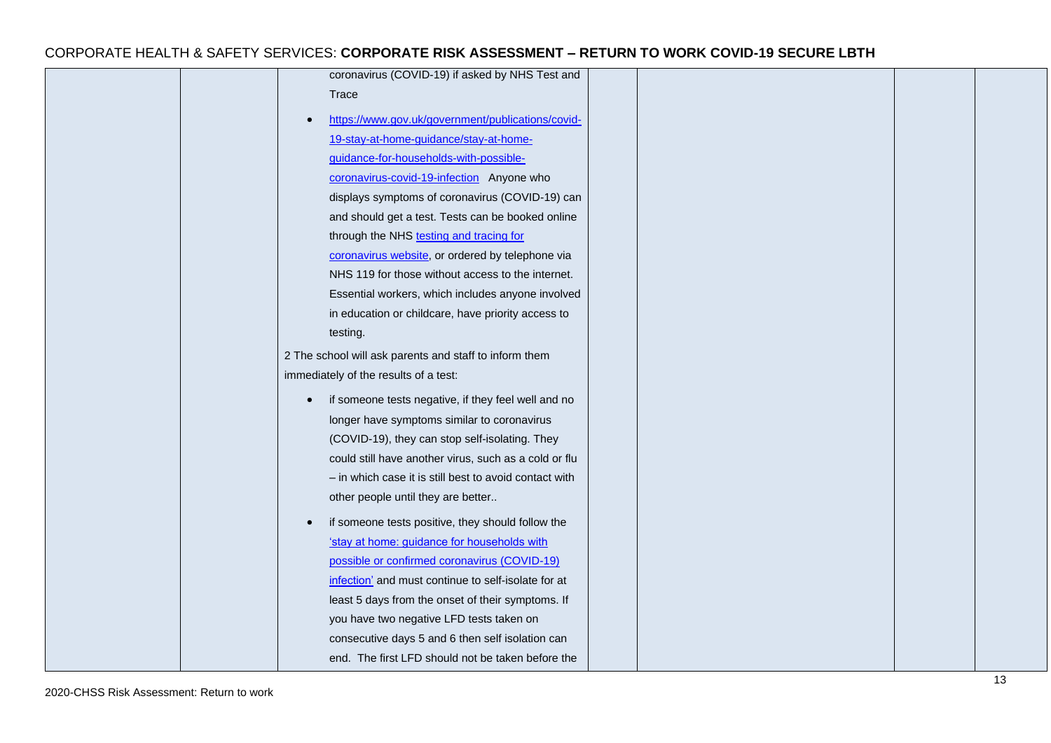| coronavirus (COVID-19) if asked by NHS Test and<br>Trace<br>https://www.gov.uk/government/publications/covid-<br>19-stay-at-home-guidance/stay-at-home-<br>guidance-for-households-with-possible-<br>coronavirus-covid-19-infection Anyone who<br>displays symptoms of coronavirus (COVID-19) can<br>and should get a test. Tests can be booked online<br>through the NHS testing and tracing for<br>coronavirus website, or ordered by telephone via<br>NHS 119 for those without access to the internet.<br>Essential workers, which includes anyone involved<br>in education or childcare, have priority access to<br>testing.<br>2 The school will ask parents and staff to inform them<br>immediately of the results of a test:<br>if someone tests negative, if they feel well and no<br>$\bullet$<br>longer have symptoms similar to coronavirus<br>(COVID-19), they can stop self-isolating. They<br>could still have another virus, such as a cold or flu<br>- in which case it is still best to avoid contact with<br>other people until they are better<br>if someone tests positive, they should follow the<br>'stay at home: guidance for households with<br>possible or confirmed coronavirus (COVID-19)<br>infection' and must continue to self-isolate for at<br>least 5 days from the onset of their symptoms. If<br>you have two negative LFD tests taken on<br>consecutive days 5 and 6 then self isolation can<br>end. The first LFD should not be taken before the |  |  |  |
|-----------------------------------------------------------------------------------------------------------------------------------------------------------------------------------------------------------------------------------------------------------------------------------------------------------------------------------------------------------------------------------------------------------------------------------------------------------------------------------------------------------------------------------------------------------------------------------------------------------------------------------------------------------------------------------------------------------------------------------------------------------------------------------------------------------------------------------------------------------------------------------------------------------------------------------------------------------------------------------------------------------------------------------------------------------------------------------------------------------------------------------------------------------------------------------------------------------------------------------------------------------------------------------------------------------------------------------------------------------------------------------------------------------------------------------------------------------------------------------------|--|--|--|
|                                                                                                                                                                                                                                                                                                                                                                                                                                                                                                                                                                                                                                                                                                                                                                                                                                                                                                                                                                                                                                                                                                                                                                                                                                                                                                                                                                                                                                                                                         |  |  |  |
|                                                                                                                                                                                                                                                                                                                                                                                                                                                                                                                                                                                                                                                                                                                                                                                                                                                                                                                                                                                                                                                                                                                                                                                                                                                                                                                                                                                                                                                                                         |  |  |  |
|                                                                                                                                                                                                                                                                                                                                                                                                                                                                                                                                                                                                                                                                                                                                                                                                                                                                                                                                                                                                                                                                                                                                                                                                                                                                                                                                                                                                                                                                                         |  |  |  |
|                                                                                                                                                                                                                                                                                                                                                                                                                                                                                                                                                                                                                                                                                                                                                                                                                                                                                                                                                                                                                                                                                                                                                                                                                                                                                                                                                                                                                                                                                         |  |  |  |
|                                                                                                                                                                                                                                                                                                                                                                                                                                                                                                                                                                                                                                                                                                                                                                                                                                                                                                                                                                                                                                                                                                                                                                                                                                                                                                                                                                                                                                                                                         |  |  |  |
|                                                                                                                                                                                                                                                                                                                                                                                                                                                                                                                                                                                                                                                                                                                                                                                                                                                                                                                                                                                                                                                                                                                                                                                                                                                                                                                                                                                                                                                                                         |  |  |  |
|                                                                                                                                                                                                                                                                                                                                                                                                                                                                                                                                                                                                                                                                                                                                                                                                                                                                                                                                                                                                                                                                                                                                                                                                                                                                                                                                                                                                                                                                                         |  |  |  |
|                                                                                                                                                                                                                                                                                                                                                                                                                                                                                                                                                                                                                                                                                                                                                                                                                                                                                                                                                                                                                                                                                                                                                                                                                                                                                                                                                                                                                                                                                         |  |  |  |
|                                                                                                                                                                                                                                                                                                                                                                                                                                                                                                                                                                                                                                                                                                                                                                                                                                                                                                                                                                                                                                                                                                                                                                                                                                                                                                                                                                                                                                                                                         |  |  |  |
|                                                                                                                                                                                                                                                                                                                                                                                                                                                                                                                                                                                                                                                                                                                                                                                                                                                                                                                                                                                                                                                                                                                                                                                                                                                                                                                                                                                                                                                                                         |  |  |  |
|                                                                                                                                                                                                                                                                                                                                                                                                                                                                                                                                                                                                                                                                                                                                                                                                                                                                                                                                                                                                                                                                                                                                                                                                                                                                                                                                                                                                                                                                                         |  |  |  |
|                                                                                                                                                                                                                                                                                                                                                                                                                                                                                                                                                                                                                                                                                                                                                                                                                                                                                                                                                                                                                                                                                                                                                                                                                                                                                                                                                                                                                                                                                         |  |  |  |
|                                                                                                                                                                                                                                                                                                                                                                                                                                                                                                                                                                                                                                                                                                                                                                                                                                                                                                                                                                                                                                                                                                                                                                                                                                                                                                                                                                                                                                                                                         |  |  |  |
|                                                                                                                                                                                                                                                                                                                                                                                                                                                                                                                                                                                                                                                                                                                                                                                                                                                                                                                                                                                                                                                                                                                                                                                                                                                                                                                                                                                                                                                                                         |  |  |  |
|                                                                                                                                                                                                                                                                                                                                                                                                                                                                                                                                                                                                                                                                                                                                                                                                                                                                                                                                                                                                                                                                                                                                                                                                                                                                                                                                                                                                                                                                                         |  |  |  |
|                                                                                                                                                                                                                                                                                                                                                                                                                                                                                                                                                                                                                                                                                                                                                                                                                                                                                                                                                                                                                                                                                                                                                                                                                                                                                                                                                                                                                                                                                         |  |  |  |
|                                                                                                                                                                                                                                                                                                                                                                                                                                                                                                                                                                                                                                                                                                                                                                                                                                                                                                                                                                                                                                                                                                                                                                                                                                                                                                                                                                                                                                                                                         |  |  |  |
|                                                                                                                                                                                                                                                                                                                                                                                                                                                                                                                                                                                                                                                                                                                                                                                                                                                                                                                                                                                                                                                                                                                                                                                                                                                                                                                                                                                                                                                                                         |  |  |  |
|                                                                                                                                                                                                                                                                                                                                                                                                                                                                                                                                                                                                                                                                                                                                                                                                                                                                                                                                                                                                                                                                                                                                                                                                                                                                                                                                                                                                                                                                                         |  |  |  |
|                                                                                                                                                                                                                                                                                                                                                                                                                                                                                                                                                                                                                                                                                                                                                                                                                                                                                                                                                                                                                                                                                                                                                                                                                                                                                                                                                                                                                                                                                         |  |  |  |
|                                                                                                                                                                                                                                                                                                                                                                                                                                                                                                                                                                                                                                                                                                                                                                                                                                                                                                                                                                                                                                                                                                                                                                                                                                                                                                                                                                                                                                                                                         |  |  |  |
|                                                                                                                                                                                                                                                                                                                                                                                                                                                                                                                                                                                                                                                                                                                                                                                                                                                                                                                                                                                                                                                                                                                                                                                                                                                                                                                                                                                                                                                                                         |  |  |  |
|                                                                                                                                                                                                                                                                                                                                                                                                                                                                                                                                                                                                                                                                                                                                                                                                                                                                                                                                                                                                                                                                                                                                                                                                                                                                                                                                                                                                                                                                                         |  |  |  |
|                                                                                                                                                                                                                                                                                                                                                                                                                                                                                                                                                                                                                                                                                                                                                                                                                                                                                                                                                                                                                                                                                                                                                                                                                                                                                                                                                                                                                                                                                         |  |  |  |
|                                                                                                                                                                                                                                                                                                                                                                                                                                                                                                                                                                                                                                                                                                                                                                                                                                                                                                                                                                                                                                                                                                                                                                                                                                                                                                                                                                                                                                                                                         |  |  |  |
|                                                                                                                                                                                                                                                                                                                                                                                                                                                                                                                                                                                                                                                                                                                                                                                                                                                                                                                                                                                                                                                                                                                                                                                                                                                                                                                                                                                                                                                                                         |  |  |  |
|                                                                                                                                                                                                                                                                                                                                                                                                                                                                                                                                                                                                                                                                                                                                                                                                                                                                                                                                                                                                                                                                                                                                                                                                                                                                                                                                                                                                                                                                                         |  |  |  |
|                                                                                                                                                                                                                                                                                                                                                                                                                                                                                                                                                                                                                                                                                                                                                                                                                                                                                                                                                                                                                                                                                                                                                                                                                                                                                                                                                                                                                                                                                         |  |  |  |
|                                                                                                                                                                                                                                                                                                                                                                                                                                                                                                                                                                                                                                                                                                                                                                                                                                                                                                                                                                                                                                                                                                                                                                                                                                                                                                                                                                                                                                                                                         |  |  |  |
|                                                                                                                                                                                                                                                                                                                                                                                                                                                                                                                                                                                                                                                                                                                                                                                                                                                                                                                                                                                                                                                                                                                                                                                                                                                                                                                                                                                                                                                                                         |  |  |  |
|                                                                                                                                                                                                                                                                                                                                                                                                                                                                                                                                                                                                                                                                                                                                                                                                                                                                                                                                                                                                                                                                                                                                                                                                                                                                                                                                                                                                                                                                                         |  |  |  |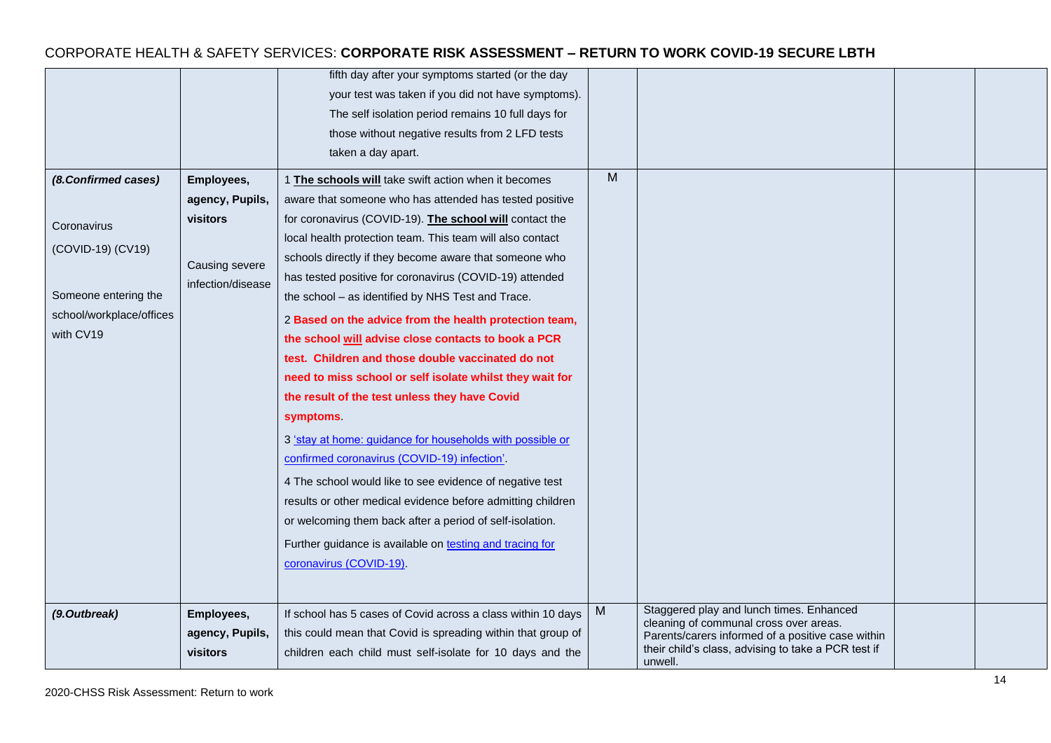| (8.Confirmed cases)<br>Coronavirus<br>(COVID-19) (CV19)<br>Someone entering the<br>school/workplace/offices<br>with CV19 | Employees,<br>agency, Pupils,<br>visitors<br>Causing severe<br>infection/disease | fifth day after your symptoms started (or the day<br>your test was taken if you did not have symptoms).<br>The self isolation period remains 10 full days for<br>those without negative results from 2 LFD tests<br>taken a day apart.<br>1 The schools will take swift action when it becomes<br>aware that someone who has attended has tested positive<br>for coronavirus (COVID-19). The school will contact the<br>local health protection team. This team will also contact<br>schools directly if they become aware that someone who<br>has tested positive for coronavirus (COVID-19) attended<br>the school - as identified by NHS Test and Trace.<br>2 Based on the advice from the health protection team,<br>the school will advise close contacts to book a PCR<br>test. Children and those double vaccinated do not<br>need to miss school or self isolate whilst they wait for<br>the result of the test unless they have Covid<br><b>symptoms</b><br>3 'stay at home: guidance for households with possible or<br>confirmed coronavirus (COVID-19) infection'.<br>4 The school would like to see evidence of negative test | M |                                                                                                                                                                                                           |  |
|--------------------------------------------------------------------------------------------------------------------------|----------------------------------------------------------------------------------|--------------------------------------------------------------------------------------------------------------------------------------------------------------------------------------------------------------------------------------------------------------------------------------------------------------------------------------------------------------------------------------------------------------------------------------------------------------------------------------------------------------------------------------------------------------------------------------------------------------------------------------------------------------------------------------------------------------------------------------------------------------------------------------------------------------------------------------------------------------------------------------------------------------------------------------------------------------------------------------------------------------------------------------------------------------------------------------------------------------------------------------------|---|-----------------------------------------------------------------------------------------------------------------------------------------------------------------------------------------------------------|--|
|                                                                                                                          |                                                                                  | results or other medical evidence before admitting children<br>or welcoming them back after a period of self-isolation.<br>Further guidance is available on testing and tracing for<br>coronavirus (COVID-19).                                                                                                                                                                                                                                                                                                                                                                                                                                                                                                                                                                                                                                                                                                                                                                                                                                                                                                                             |   |                                                                                                                                                                                                           |  |
| (9.Outbreak)                                                                                                             | Employees,<br>agency, Pupils,<br>visitors                                        | If school has 5 cases of Covid across a class within 10 days<br>this could mean that Covid is spreading within that group of<br>children each child must self-isolate for 10 days and the                                                                                                                                                                                                                                                                                                                                                                                                                                                                                                                                                                                                                                                                                                                                                                                                                                                                                                                                                  | M | Staggered play and lunch times. Enhanced<br>cleaning of communal cross over areas.<br>Parents/carers informed of a positive case within<br>their child's class, advising to take a PCR test if<br>unwell. |  |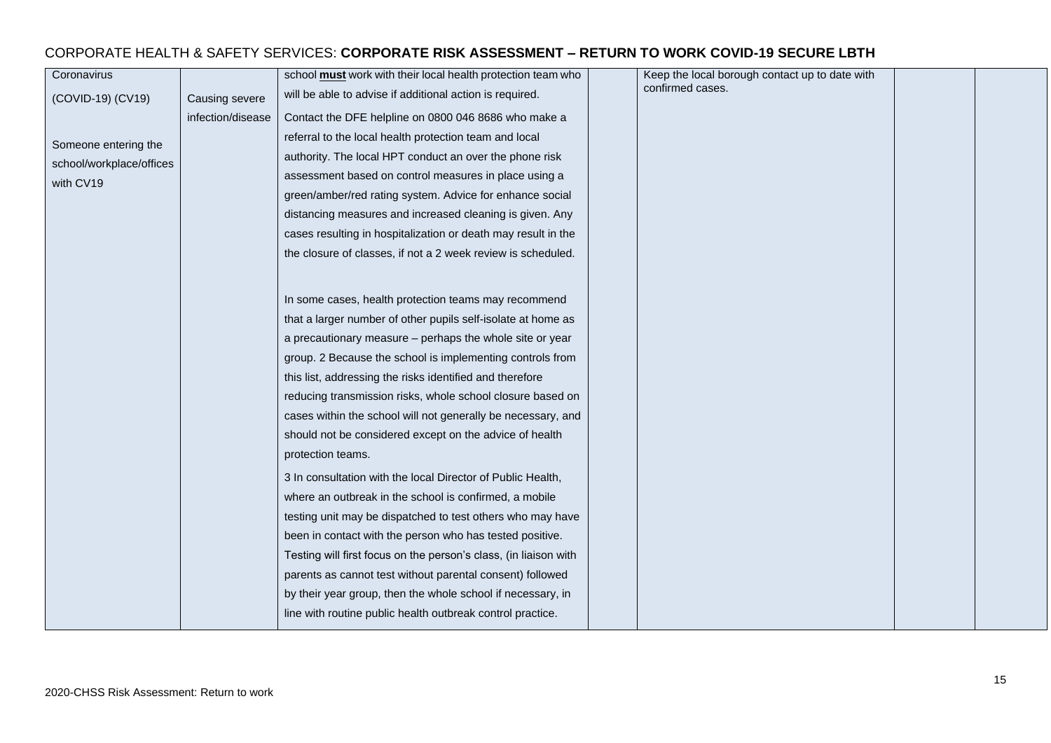| Coronavirus              |                   | school must work with their local health protection team who     | Keep the local borough contact up to date with |  |
|--------------------------|-------------------|------------------------------------------------------------------|------------------------------------------------|--|
| (COVID-19) (CV19)        | Causing severe    | will be able to advise if additional action is required.         | confirmed cases.                               |  |
|                          | infection/disease | Contact the DFE helpline on 0800 046 8686 who make a             |                                                |  |
| Someone entering the     |                   | referral to the local health protection team and local           |                                                |  |
| school/workplace/offices |                   | authority. The local HPT conduct an over the phone risk          |                                                |  |
| with CV19                |                   | assessment based on control measures in place using a            |                                                |  |
|                          |                   | green/amber/red rating system. Advice for enhance social         |                                                |  |
|                          |                   | distancing measures and increased cleaning is given. Any         |                                                |  |
|                          |                   | cases resulting in hospitalization or death may result in the    |                                                |  |
|                          |                   | the closure of classes, if not a 2 week review is scheduled.     |                                                |  |
|                          |                   |                                                                  |                                                |  |
|                          |                   | In some cases, health protection teams may recommend             |                                                |  |
|                          |                   | that a larger number of other pupils self-isolate at home as     |                                                |  |
|                          |                   | a precautionary measure - perhaps the whole site or year         |                                                |  |
|                          |                   | group. 2 Because the school is implementing controls from        |                                                |  |
|                          |                   | this list, addressing the risks identified and therefore         |                                                |  |
|                          |                   | reducing transmission risks, whole school closure based on       |                                                |  |
|                          |                   | cases within the school will not generally be necessary, and     |                                                |  |
|                          |                   | should not be considered except on the advice of health          |                                                |  |
|                          |                   | protection teams.                                                |                                                |  |
|                          |                   | 3 In consultation with the local Director of Public Health,      |                                                |  |
|                          |                   | where an outbreak in the school is confirmed, a mobile           |                                                |  |
|                          |                   | testing unit may be dispatched to test others who may have       |                                                |  |
|                          |                   | been in contact with the person who has tested positive.         |                                                |  |
|                          |                   | Testing will first focus on the person's class, (in liaison with |                                                |  |
|                          |                   | parents as cannot test without parental consent) followed        |                                                |  |
|                          |                   | by their year group, then the whole school if necessary, in      |                                                |  |
|                          |                   | line with routine public health outbreak control practice.       |                                                |  |
|                          |                   |                                                                  |                                                |  |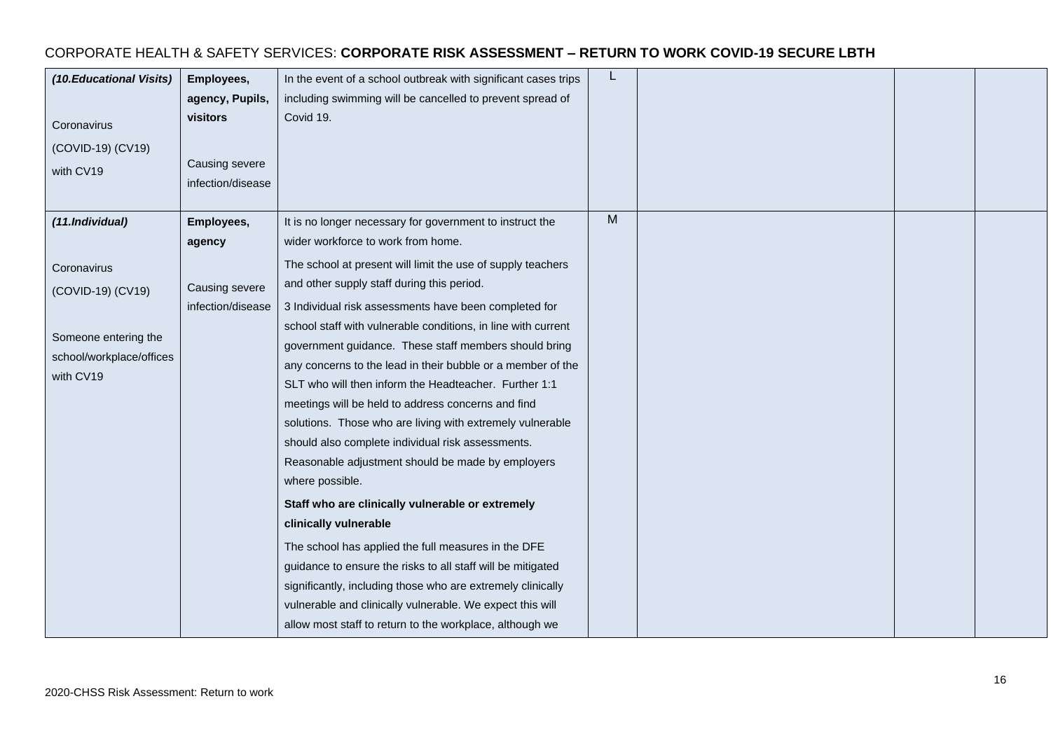| (10. Educational Visits)<br>Coronavirus<br>(COVID-19) (CV19)<br>with CV19                         | Employees,<br>agency, Pupils,<br>visitors<br>Causing severe<br>infection/disease | In the event of a school outbreak with significant cases trips<br>including swimming will be cancelled to prevent spread of<br>Covid 19.                                                                                                                                                                                                                                                                                                                                                                                                                                                                                                                                                                                                                                                                                                                                                                                                                                                            | L |  |  |
|---------------------------------------------------------------------------------------------------|----------------------------------------------------------------------------------|-----------------------------------------------------------------------------------------------------------------------------------------------------------------------------------------------------------------------------------------------------------------------------------------------------------------------------------------------------------------------------------------------------------------------------------------------------------------------------------------------------------------------------------------------------------------------------------------------------------------------------------------------------------------------------------------------------------------------------------------------------------------------------------------------------------------------------------------------------------------------------------------------------------------------------------------------------------------------------------------------------|---|--|--|
| (11.Individual)                                                                                   | Employees,<br>agency                                                             | It is no longer necessary for government to instruct the<br>wider workforce to work from home.                                                                                                                                                                                                                                                                                                                                                                                                                                                                                                                                                                                                                                                                                                                                                                                                                                                                                                      | M |  |  |
| Coronavirus<br>(COVID-19) (CV19)<br>Someone entering the<br>school/workplace/offices<br>with CV19 | Causing severe<br>infection/disease                                              | The school at present will limit the use of supply teachers<br>and other supply staff during this period.<br>3 Individual risk assessments have been completed for<br>school staff with vulnerable conditions, in line with current<br>government guidance. These staff members should bring<br>any concerns to the lead in their bubble or a member of the<br>SLT who will then inform the Headteacher. Further 1:1<br>meetings will be held to address concerns and find<br>solutions. Those who are living with extremely vulnerable<br>should also complete individual risk assessments.<br>Reasonable adjustment should be made by employers<br>where possible.<br>Staff who are clinically vulnerable or extremely<br>clinically vulnerable<br>The school has applied the full measures in the DFE<br>guidance to ensure the risks to all staff will be mitigated<br>significantly, including those who are extremely clinically<br>vulnerable and clinically vulnerable. We expect this will |   |  |  |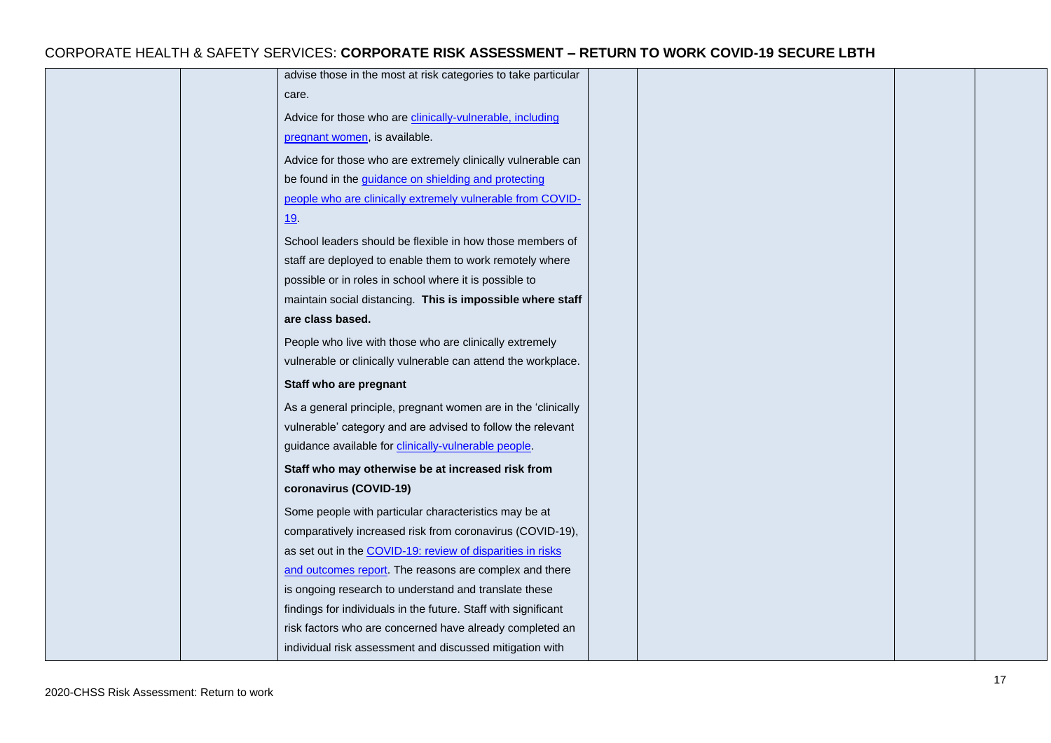| advise those in the most at risk categories to take particular |  |
|----------------------------------------------------------------|--|
| care.                                                          |  |
| Advice for those who are clinically-vulnerable, including      |  |
| pregnant women, is available.                                  |  |
| Advice for those who are extremely clinically vulnerable can   |  |
| be found in the guidance on shielding and protecting           |  |
| people who are clinically extremely vulnerable from COVID-     |  |
| 19                                                             |  |
| School leaders should be flexible in how those members of      |  |
| staff are deployed to enable them to work remotely where       |  |
| possible or in roles in school where it is possible to         |  |
| maintain social distancing. This is impossible where staff     |  |
| are class based.                                               |  |
| People who live with those who are clinically extremely        |  |
| vulnerable or clinically vulnerable can attend the workplace.  |  |
| Staff who are pregnant                                         |  |
| As a general principle, pregnant women are in the 'clinically  |  |
| vulnerable' category and are advised to follow the relevant    |  |
| guidance available for clinically-vulnerable people.           |  |
| Staff who may otherwise be at increased risk from              |  |
| coronavirus (COVID-19)                                         |  |
| Some people with particular characteristics may be at          |  |
| comparatively increased risk from coronavirus (COVID-19),      |  |
| as set out in the COVID-19: review of disparities in risks     |  |
| and outcomes report. The reasons are complex and there         |  |
| is ongoing research to understand and translate these          |  |
| findings for individuals in the future. Staff with significant |  |
| risk factors who are concerned have already completed an       |  |
| individual risk assessment and discussed mitigation with       |  |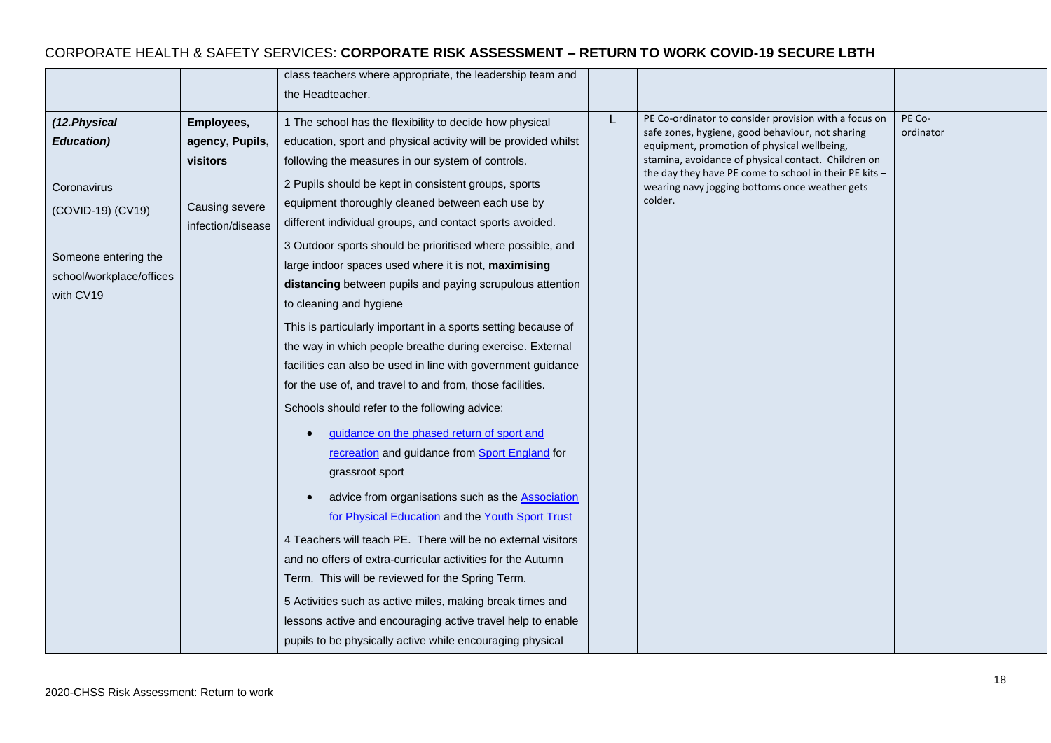|                                       |                   | class teachers where appropriate, the leadership team and      |  |                                                                                                                     |           |  |
|---------------------------------------|-------------------|----------------------------------------------------------------|--|---------------------------------------------------------------------------------------------------------------------|-----------|--|
|                                       |                   | the Headteacher.                                               |  |                                                                                                                     |           |  |
| (12.Physical                          | Employees,        | 1 The school has the flexibility to decide how physical        |  | PE Co-ordinator to consider provision with a focus on                                                               | PE Co-    |  |
| <b>Education</b> )                    | agency, Pupils,   | education, sport and physical activity will be provided whilst |  | safe zones, hygiene, good behaviour, not sharing<br>equipment, promotion of physical wellbeing,                     | ordinator |  |
|                                       | visitors          | following the measures in our system of controls.              |  | stamina, avoidance of physical contact. Children on                                                                 |           |  |
|                                       |                   | 2 Pupils should be kept in consistent groups, sports           |  | the day they have PE come to school in their PE kits -<br>wearing navy jogging bottoms once weather gets<br>colder. |           |  |
| Coronavirus                           |                   | equipment thoroughly cleaned between each use by               |  |                                                                                                                     |           |  |
| (COVID-19) (CV19)                     | Causing severe    | different individual groups, and contact sports avoided.       |  |                                                                                                                     |           |  |
|                                       | infection/disease |                                                                |  |                                                                                                                     |           |  |
| Someone entering the                  |                   | 3 Outdoor sports should be prioritised where possible, and     |  |                                                                                                                     |           |  |
| school/workplace/offices<br>with CV19 |                   | large indoor spaces used where it is not, maximising           |  |                                                                                                                     |           |  |
|                                       |                   | distancing between pupils and paying scrupulous attention      |  |                                                                                                                     |           |  |
|                                       |                   | to cleaning and hygiene                                        |  |                                                                                                                     |           |  |
|                                       |                   | This is particularly important in a sports setting because of  |  |                                                                                                                     |           |  |
|                                       |                   | the way in which people breathe during exercise. External      |  |                                                                                                                     |           |  |
|                                       |                   | facilities can also be used in line with government guidance   |  |                                                                                                                     |           |  |
|                                       |                   | for the use of, and travel to and from, those facilities.      |  |                                                                                                                     |           |  |
|                                       |                   | Schools should refer to the following advice:                  |  |                                                                                                                     |           |  |
|                                       |                   | guidance on the phased return of sport and                     |  |                                                                                                                     |           |  |
|                                       |                   | recreation and guidance from Sport England for                 |  |                                                                                                                     |           |  |
|                                       |                   | grassroot sport                                                |  |                                                                                                                     |           |  |
|                                       |                   | advice from organisations such as the <b>Association</b>       |  |                                                                                                                     |           |  |
|                                       |                   | for Physical Education and the Youth Sport Trust               |  |                                                                                                                     |           |  |
|                                       |                   | 4 Teachers will teach PE. There will be no external visitors   |  |                                                                                                                     |           |  |
|                                       |                   | and no offers of extra-curricular activities for the Autumn    |  |                                                                                                                     |           |  |
|                                       |                   | Term. This will be reviewed for the Spring Term.               |  |                                                                                                                     |           |  |
|                                       |                   | 5 Activities such as active miles, making break times and      |  |                                                                                                                     |           |  |
|                                       |                   | lessons active and encouraging active travel help to enable    |  |                                                                                                                     |           |  |
|                                       |                   | pupils to be physically active while encouraging physical      |  |                                                                                                                     |           |  |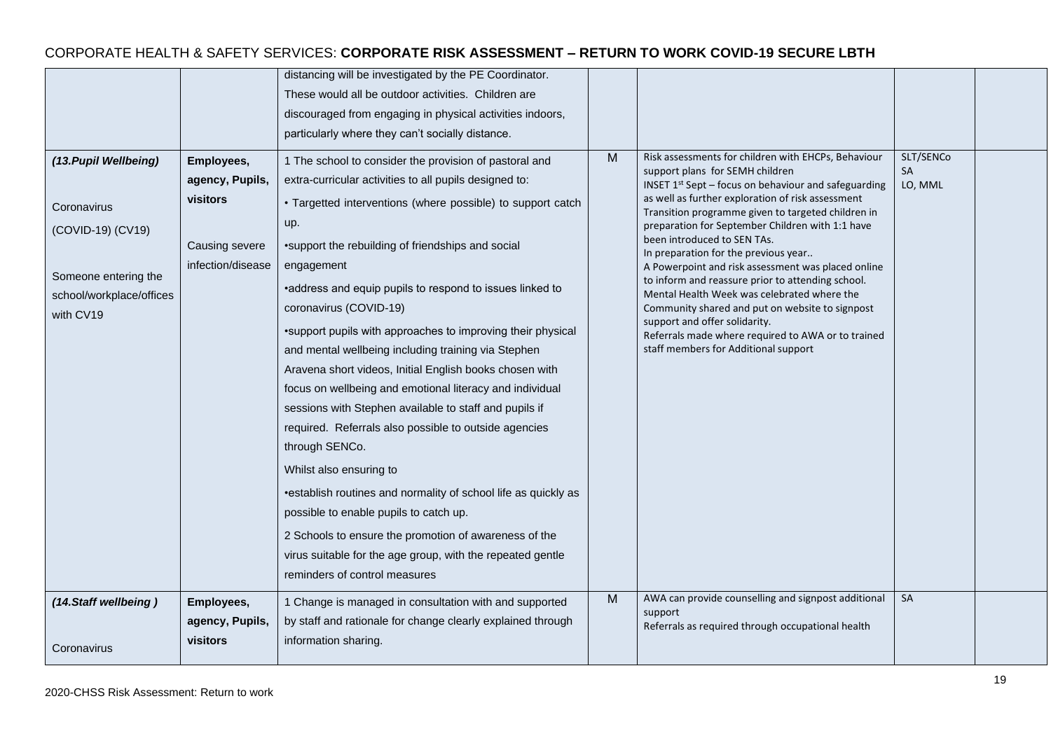|                                                                                                                            |                                                                                  | distancing will be investigated by the PE Coordinator.<br>These would all be outdoor activities. Children are<br>discouraged from engaging in physical activities indoors,<br>particularly where they can't socially distance.                                                                                                                                                                                                                                                                                                                                                                                                                                                                                                                                                                                                                                                                                                                                                                                                   |   |                                                                                                                                                                                                                                                                                                                                                                                                                                                                                                                                                                                                                                                                                                                                         |                            |  |
|----------------------------------------------------------------------------------------------------------------------------|----------------------------------------------------------------------------------|----------------------------------------------------------------------------------------------------------------------------------------------------------------------------------------------------------------------------------------------------------------------------------------------------------------------------------------------------------------------------------------------------------------------------------------------------------------------------------------------------------------------------------------------------------------------------------------------------------------------------------------------------------------------------------------------------------------------------------------------------------------------------------------------------------------------------------------------------------------------------------------------------------------------------------------------------------------------------------------------------------------------------------|---|-----------------------------------------------------------------------------------------------------------------------------------------------------------------------------------------------------------------------------------------------------------------------------------------------------------------------------------------------------------------------------------------------------------------------------------------------------------------------------------------------------------------------------------------------------------------------------------------------------------------------------------------------------------------------------------------------------------------------------------------|----------------------------|--|
| (13. Pupil Wellbeing)<br>Coronavirus<br>(COVID-19) (CV19)<br>Someone entering the<br>school/workplace/offices<br>with CV19 | Employees,<br>agency, Pupils,<br>visitors<br>Causing severe<br>infection/disease | 1 The school to consider the provision of pastoral and<br>extra-curricular activities to all pupils designed to:<br>• Targetted interventions (where possible) to support catch<br>up.<br>•support the rebuilding of friendships and social<br>engagement<br>•address and equip pupils to respond to issues linked to<br>coronavirus (COVID-19)<br>•support pupils with approaches to improving their physical<br>and mental wellbeing including training via Stephen<br>Aravena short videos, Initial English books chosen with<br>focus on wellbeing and emotional literacy and individual<br>sessions with Stephen available to staff and pupils if<br>required. Referrals also possible to outside agencies<br>through SENCo.<br>Whilst also ensuring to<br>•establish routines and normality of school life as quickly as<br>possible to enable pupils to catch up.<br>2 Schools to ensure the promotion of awareness of the<br>virus suitable for the age group, with the repeated gentle<br>reminders of control measures | M | Risk assessments for children with EHCPs, Behaviour<br>support plans for SEMH children<br><b>INSET 1st Sept – focus on behaviour and safeguarding</b><br>as well as further exploration of risk assessment<br>Transition programme given to targeted children in<br>preparation for September Children with 1:1 have<br>been introduced to SEN TAs.<br>In preparation for the previous year<br>A Powerpoint and risk assessment was placed online<br>to inform and reassure prior to attending school.<br>Mental Health Week was celebrated where the<br>Community shared and put on website to signpost<br>support and offer solidarity.<br>Referrals made where required to AWA or to trained<br>staff members for Additional support | SLT/SENCo<br>SA<br>LO, MML |  |
| (14.Staff wellbeing)<br>Coronavirus                                                                                        | Employees,<br>agency, Pupils,<br>visitors                                        | 1 Change is managed in consultation with and supported<br>by staff and rationale for change clearly explained through<br>information sharing.                                                                                                                                                                                                                                                                                                                                                                                                                                                                                                                                                                                                                                                                                                                                                                                                                                                                                    | M | AWA can provide counselling and signpost additional<br>support<br>Referrals as required through occupational health                                                                                                                                                                                                                                                                                                                                                                                                                                                                                                                                                                                                                     | SA                         |  |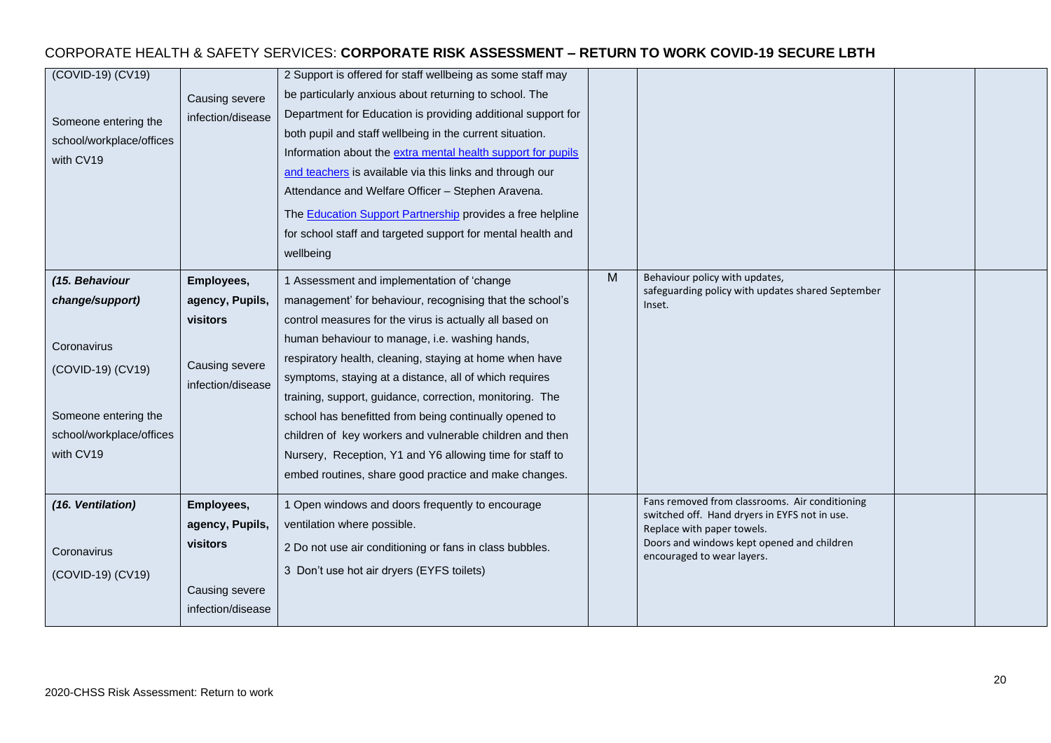| (COVID-19) (CV19)<br>Someone entering the<br>school/workplace/offices<br>with CV19                                                     | Causing severe<br>infection/disease                                              | 2 Support is offered for staff wellbeing as some staff may<br>be particularly anxious about returning to school. The<br>Department for Education is providing additional support for<br>both pupil and staff wellbeing in the current situation.<br>Information about the extra mental health support for pupils<br>and teachers is available via this links and through our<br>Attendance and Welfare Officer - Stephen Aravena.<br>The <b>Education Support Partnership</b> provides a free helpline<br>for school staff and targeted support for mental health and<br>wellbeing                                                              |   |                                                                                                                                                                                                           |  |
|----------------------------------------------------------------------------------------------------------------------------------------|----------------------------------------------------------------------------------|-------------------------------------------------------------------------------------------------------------------------------------------------------------------------------------------------------------------------------------------------------------------------------------------------------------------------------------------------------------------------------------------------------------------------------------------------------------------------------------------------------------------------------------------------------------------------------------------------------------------------------------------------|---|-----------------------------------------------------------------------------------------------------------------------------------------------------------------------------------------------------------|--|
| (15. Behaviour<br>change/support)<br>Coronavirus<br>(COVID-19) (CV19)<br>Someone entering the<br>school/workplace/offices<br>with CV19 | Employees,<br>agency, Pupils,<br>visitors<br>Causing severe<br>infection/disease | 1 Assessment and implementation of 'change<br>management' for behaviour, recognising that the school's<br>control measures for the virus is actually all based on<br>human behaviour to manage, i.e. washing hands,<br>respiratory health, cleaning, staying at home when have<br>symptoms, staying at a distance, all of which requires<br>training, support, guidance, correction, monitoring. The<br>school has benefitted from being continually opened to<br>children of key workers and vulnerable children and then<br>Nursery, Reception, Y1 and Y6 allowing time for staff to<br>embed routines, share good practice and make changes. | M | Behaviour policy with updates,<br>safeguarding policy with updates shared September<br>Inset.                                                                                                             |  |
| (16. Ventilation)<br>Coronavirus<br>(COVID-19) (CV19)                                                                                  | Employees,<br>agency, Pupils,<br>visitors<br>Causing severe<br>infection/disease | 1 Open windows and doors frequently to encourage<br>ventilation where possible.<br>2 Do not use air conditioning or fans in class bubbles.<br>3 Don't use hot air dryers (EYFS toilets)                                                                                                                                                                                                                                                                                                                                                                                                                                                         |   | Fans removed from classrooms. Air conditioning<br>switched off. Hand dryers in EYFS not in use.<br>Replace with paper towels.<br>Doors and windows kept opened and children<br>encouraged to wear layers. |  |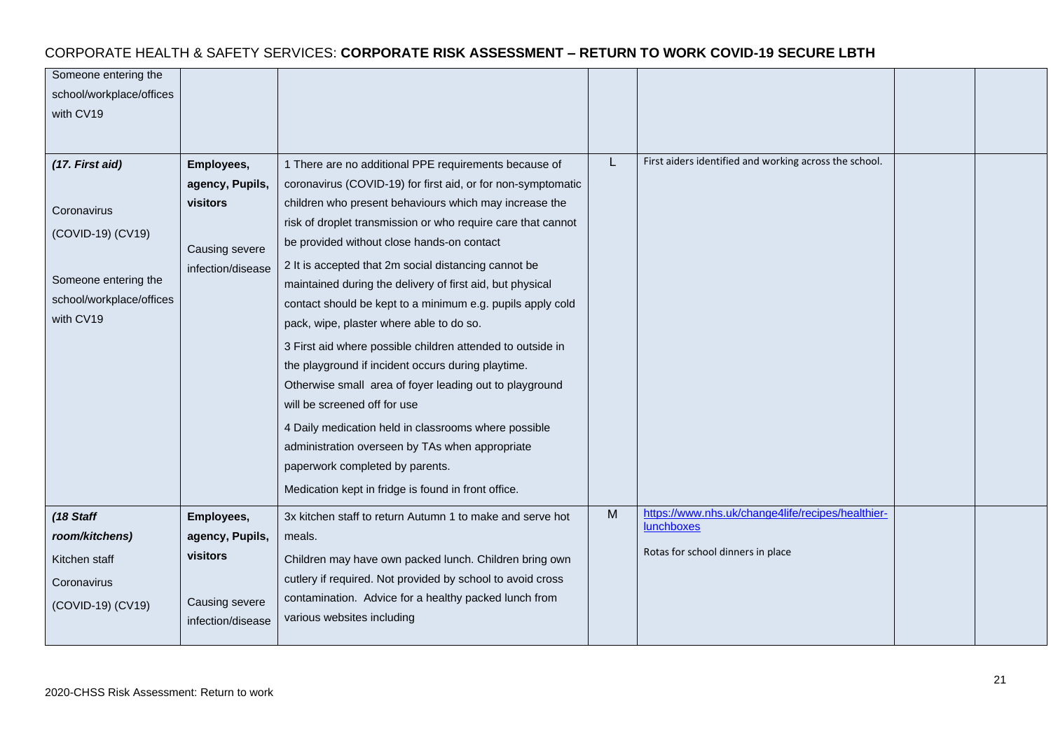| Someone entering the     |                   |                                                              |   |                                                        |  |
|--------------------------|-------------------|--------------------------------------------------------------|---|--------------------------------------------------------|--|
| school/workplace/offices |                   |                                                              |   |                                                        |  |
| with CV19                |                   |                                                              |   |                                                        |  |
|                          |                   |                                                              |   |                                                        |  |
|                          |                   |                                                              |   | First aiders identified and working across the school. |  |
| (17. First aid)          | Employees,        | 1 There are no additional PPE requirements because of        |   |                                                        |  |
|                          | agency, Pupils,   | coronavirus (COVID-19) for first aid, or for non-symptomatic |   |                                                        |  |
| Coronavirus              | visitors          | children who present behaviours which may increase the       |   |                                                        |  |
| (COVID-19) (CV19)        |                   | risk of droplet transmission or who require care that cannot |   |                                                        |  |
|                          | Causing severe    | be provided without close hands-on contact                   |   |                                                        |  |
|                          | infection/disease | 2 It is accepted that 2m social distancing cannot be         |   |                                                        |  |
| Someone entering the     |                   | maintained during the delivery of first aid, but physical    |   |                                                        |  |
| school/workplace/offices |                   | contact should be kept to a minimum e.g. pupils apply cold   |   |                                                        |  |
| with CV19                |                   | pack, wipe, plaster where able to do so.                     |   |                                                        |  |
|                          |                   | 3 First aid where possible children attended to outside in   |   |                                                        |  |
|                          |                   | the playground if incident occurs during playtime.           |   |                                                        |  |
|                          |                   | Otherwise small area of foyer leading out to playground      |   |                                                        |  |
|                          |                   | will be screened off for use                                 |   |                                                        |  |
|                          |                   | 4 Daily medication held in classrooms where possible         |   |                                                        |  |
|                          |                   | administration overseen by TAs when appropriate              |   |                                                        |  |
|                          |                   | paperwork completed by parents.                              |   |                                                        |  |
|                          |                   | Medication kept in fridge is found in front office.          |   |                                                        |  |
| (18 Staff                | Employees,        | 3x kitchen staff to return Autumn 1 to make and serve hot    | M | https://www.nhs.uk/change4life/recipes/healthier-      |  |
| room/kitchens)           | agency, Pupils,   | meals.                                                       |   | lunchboxes                                             |  |
| Kitchen staff            | visitors          | Children may have own packed lunch. Children bring own       |   | Rotas for school dinners in place                      |  |
| Coronavirus              |                   | cutlery if required. Not provided by school to avoid cross   |   |                                                        |  |
|                          | Causing severe    | contamination. Advice for a healthy packed lunch from        |   |                                                        |  |
| (COVID-19) (CV19)        | infection/disease | various websites including                                   |   |                                                        |  |
|                          |                   |                                                              |   |                                                        |  |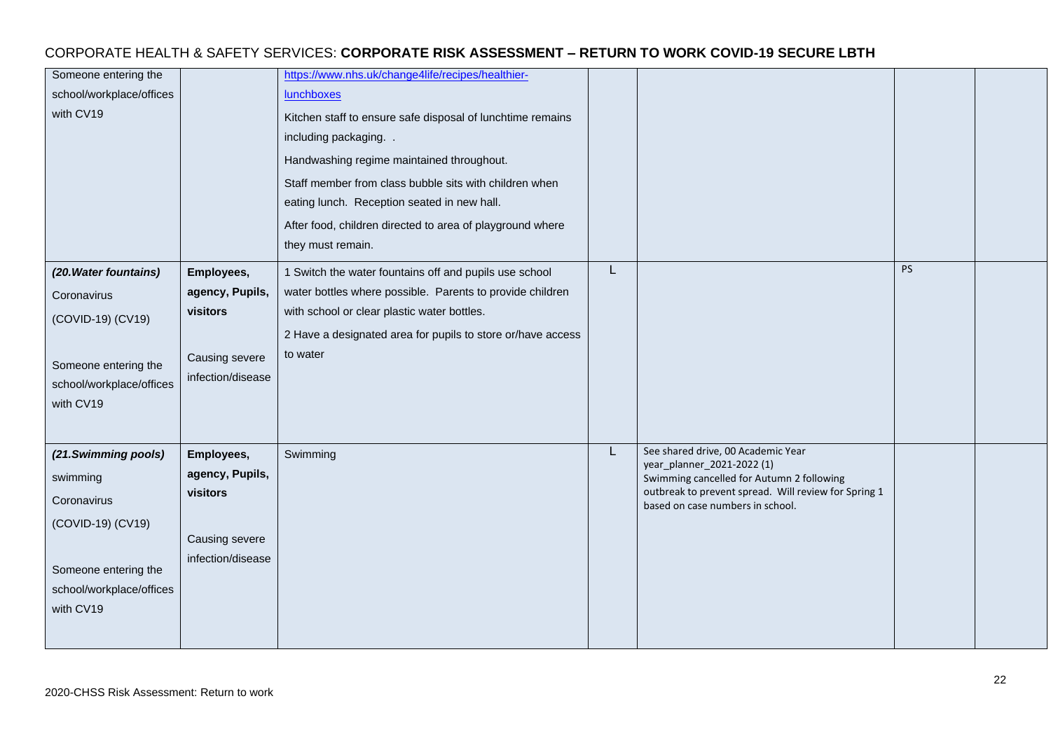#### Someone entering the school/workplace/offices with CV19 [https://www.nhs.uk/change4life/recipes/healthier](https://www.nhs.uk/change4life/recipes/healthier-lunchboxes)[lunchboxes](https://www.nhs.uk/change4life/recipes/healthier-lunchboxes) Kitchen staff to ensure safe disposal of lunchtime remains including packaging. . Handwashing regime maintained throughout. Staff member from class bubble sits with children when eating lunch. Reception seated in new hall. After food, children directed to area of playground where they must remain. *(20.Water fountains)* **Coronavirus** (COVID-19) (CV19) Someone entering the school/workplace/offices with CV19 **Employees, agency, Pupils, visitors**  Causing severe infection/disease 1 Switch the water fountains off and pupils use school water bottles where possible. Parents to provide children with school or clear plastic water bottles. 2 Have a designated area for pupils to store or/have access to water L PS *(21.Swimming pools)* swimming Coronavirus (COVID-19) (CV19) Someone entering the school/workplace/offices with CV19 **Employees, agency, Pupils, visitors**  Causing severe infection/disease Swimming **L** See shared drive, 00 Academic Year year\_planner\_2021-2022 (1) Swimming cancelled for Autumn 2 following outbreak to prevent spread. Will review for Spring 1 based on case numbers in school.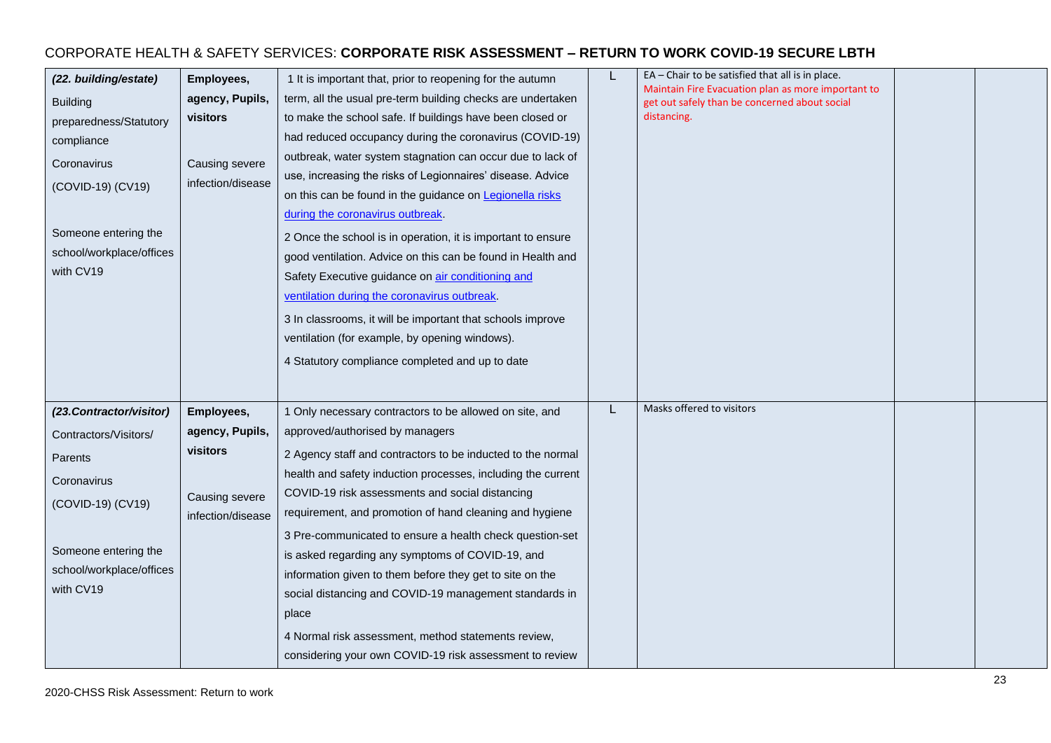| (22. building/estate)<br><b>Building</b><br>preparedness/Statutory<br>compliance<br>Coronavirus<br>(COVID-19) (CV19)<br>Someone entering the<br>school/workplace/offices<br>with CV19 | Employees,<br>agency, Pupils,<br>visitors<br>Causing severe<br>infection/disease | 1 It is important that, prior to reopening for the autumn<br>term, all the usual pre-term building checks are undertaken<br>to make the school safe. If buildings have been closed or<br>had reduced occupancy during the coronavirus (COVID-19)<br>outbreak, water system stagnation can occur due to lack of<br>use, increasing the risks of Legionnaires' disease. Advice<br>on this can be found in the guidance on Legionella risks<br>during the coronavirus outbreak.<br>2 Once the school is in operation, it is important to ensure<br>good ventilation. Advice on this can be found in Health and<br>Safety Executive guidance on air conditioning and<br>ventilation during the coronavirus outbreak.<br>3 In classrooms, it will be important that schools improve<br>ventilation (for example, by opening windows).<br>4 Statutory compliance completed and up to date |   | EA - Chair to be satisfied that all is in place.<br>Maintain Fire Evacuation plan as more important to<br>get out safely than be concerned about social<br>distancing. |  |
|---------------------------------------------------------------------------------------------------------------------------------------------------------------------------------------|----------------------------------------------------------------------------------|-------------------------------------------------------------------------------------------------------------------------------------------------------------------------------------------------------------------------------------------------------------------------------------------------------------------------------------------------------------------------------------------------------------------------------------------------------------------------------------------------------------------------------------------------------------------------------------------------------------------------------------------------------------------------------------------------------------------------------------------------------------------------------------------------------------------------------------------------------------------------------------|---|------------------------------------------------------------------------------------------------------------------------------------------------------------------------|--|
| (23. Contractor/visitor)<br>Contractors/Visitors/<br>Parents                                                                                                                          | Employees,<br>agency, Pupils,<br>visitors                                        | 1 Only necessary contractors to be allowed on site, and<br>approved/authorised by managers<br>2 Agency staff and contractors to be inducted to the normal                                                                                                                                                                                                                                                                                                                                                                                                                                                                                                                                                                                                                                                                                                                           | L | Masks offered to visitors                                                                                                                                              |  |
| Coronavirus<br>(COVID-19) (CV19)                                                                                                                                                      | Causing severe<br>infection/disease                                              | health and safety induction processes, including the current<br>COVID-19 risk assessments and social distancing<br>requirement, and promotion of hand cleaning and hygiene                                                                                                                                                                                                                                                                                                                                                                                                                                                                                                                                                                                                                                                                                                          |   |                                                                                                                                                                        |  |
| Someone entering the<br>school/workplace/offices<br>with CV19                                                                                                                         |                                                                                  | 3 Pre-communicated to ensure a health check question-set<br>is asked regarding any symptoms of COVID-19, and<br>information given to them before they get to site on the<br>social distancing and COVID-19 management standards in<br>place<br>4 Normal risk assessment, method statements review,<br>considering your own COVID-19 risk assessment to review                                                                                                                                                                                                                                                                                                                                                                                                                                                                                                                       |   |                                                                                                                                                                        |  |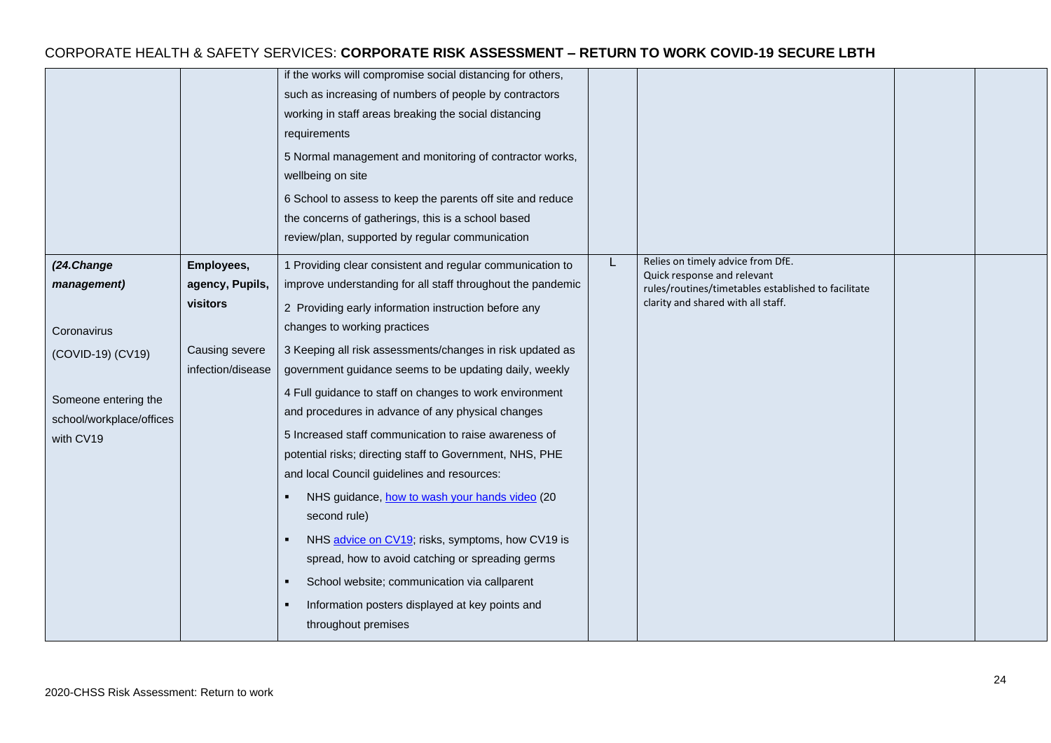|                                                                                                                                |                                                                                  | if the works will compromise social distancing for others,<br>such as increasing of numbers of people by contractors<br>working in staff areas breaking the social distancing<br>requirements<br>5 Normal management and monitoring of contractor works,<br>wellbeing on site<br>6 School to assess to keep the parents off site and reduce<br>the concerns of gatherings, this is a school based<br>review/plan, supported by regular communication                                                                                                                                                                                                                                                                                                                                                                                                                                                                            |   |                                                                                                                                                               |  |
|--------------------------------------------------------------------------------------------------------------------------------|----------------------------------------------------------------------------------|---------------------------------------------------------------------------------------------------------------------------------------------------------------------------------------------------------------------------------------------------------------------------------------------------------------------------------------------------------------------------------------------------------------------------------------------------------------------------------------------------------------------------------------------------------------------------------------------------------------------------------------------------------------------------------------------------------------------------------------------------------------------------------------------------------------------------------------------------------------------------------------------------------------------------------|---|---------------------------------------------------------------------------------------------------------------------------------------------------------------|--|
| (24.Change<br>management)<br>Coronavirus<br>(COVID-19) (CV19)<br>Someone entering the<br>school/workplace/offices<br>with CV19 | Employees,<br>agency, Pupils,<br>visitors<br>Causing severe<br>infection/disease | 1 Providing clear consistent and regular communication to<br>improve understanding for all staff throughout the pandemic<br>2 Providing early information instruction before any<br>changes to working practices<br>3 Keeping all risk assessments/changes in risk updated as<br>government guidance seems to be updating daily, weekly<br>4 Full guidance to staff on changes to work environment<br>and procedures in advance of any physical changes<br>5 Increased staff communication to raise awareness of<br>potential risks; directing staff to Government, NHS, PHE<br>and local Council guidelines and resources:<br>NHS guidance, how to wash your hands video (20<br>second rule)<br>NHS advice on CV19; risks, symptoms, how CV19 is<br>spread, how to avoid catching or spreading germs<br>School website; communication via callparent<br>Information posters displayed at key points and<br>throughout premises | L | Relies on timely advice from DfE.<br>Quick response and relevant<br>rules/routines/timetables established to facilitate<br>clarity and shared with all staff. |  |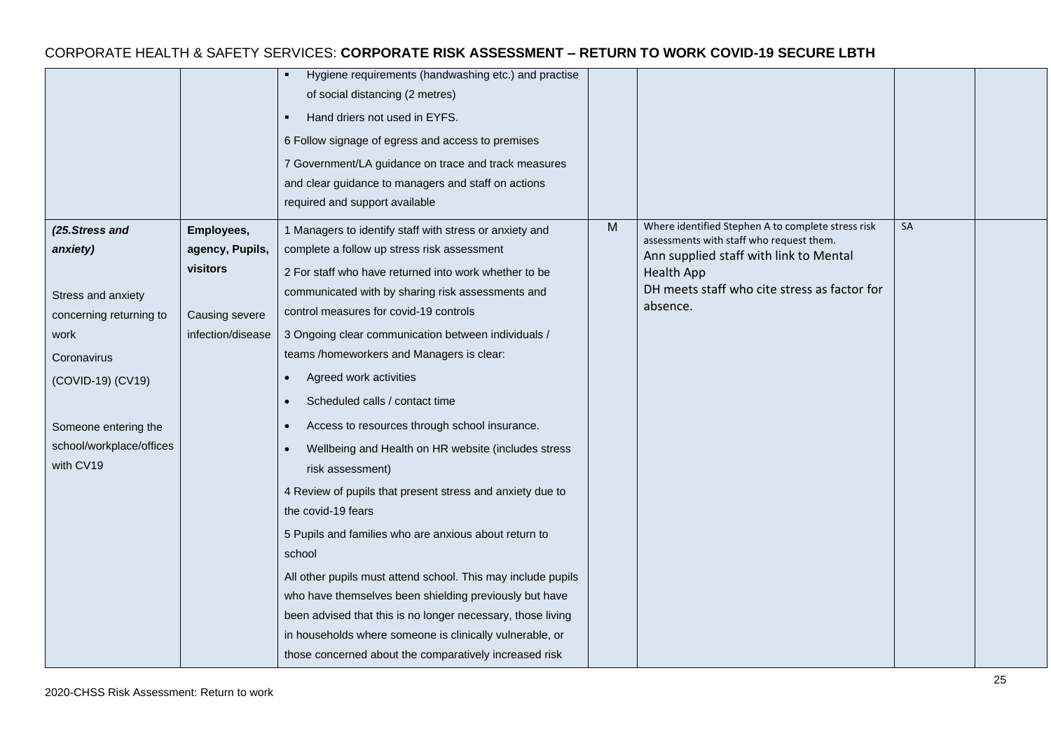|                          |                   | Hygiene requirements (handwashing etc.) and practise<br>٠    |   |                                                                                                |    |  |
|--------------------------|-------------------|--------------------------------------------------------------|---|------------------------------------------------------------------------------------------------|----|--|
|                          |                   | of social distancing (2 metres)                              |   |                                                                                                |    |  |
|                          |                   | Hand driers not used in EYFS.                                |   |                                                                                                |    |  |
|                          |                   | 6 Follow signage of egress and access to premises            |   |                                                                                                |    |  |
|                          |                   | 7 Government/LA guidance on trace and track measures         |   |                                                                                                |    |  |
|                          |                   | and clear guidance to managers and staff on actions          |   |                                                                                                |    |  |
|                          |                   | required and support available                               |   |                                                                                                |    |  |
| (25. Stress and          | Employees,        | 1 Managers to identify staff with stress or anxiety and      | M | Where identified Stephen A to complete stress risk<br>assessments with staff who request them. | SA |  |
| anxiety)                 | agency, Pupils,   | complete a follow up stress risk assessment                  |   | Ann supplied staff with link to Mental                                                         |    |  |
|                          | visitors          | 2 For staff who have returned into work whether to be        |   | Health App                                                                                     |    |  |
| Stress and anxiety       |                   | communicated with by sharing risk assessments and            |   | DH meets staff who cite stress as factor for                                                   |    |  |
| concerning returning to  | Causing severe    | control measures for covid-19 controls                       |   | absence.                                                                                       |    |  |
| work                     | infection/disease | 3 Ongoing clear communication between individuals /          |   |                                                                                                |    |  |
| Coronavirus              |                   | teams /homeworkers and Managers is clear:                    |   |                                                                                                |    |  |
| (COVID-19) (CV19)        |                   | Agreed work activities                                       |   |                                                                                                |    |  |
|                          |                   | Scheduled calls / contact time                               |   |                                                                                                |    |  |
| Someone entering the     |                   | Access to resources through school insurance.                |   |                                                                                                |    |  |
| school/workplace/offices |                   | Wellbeing and Health on HR website (includes stress          |   |                                                                                                |    |  |
| with CV19                |                   | risk assessment)                                             |   |                                                                                                |    |  |
|                          |                   | 4 Review of pupils that present stress and anxiety due to    |   |                                                                                                |    |  |
|                          |                   | the covid-19 fears                                           |   |                                                                                                |    |  |
|                          |                   | 5 Pupils and families who are anxious about return to        |   |                                                                                                |    |  |
|                          |                   | school                                                       |   |                                                                                                |    |  |
|                          |                   | All other pupils must attend school. This may include pupils |   |                                                                                                |    |  |
|                          |                   | who have themselves been shielding previously but have       |   |                                                                                                |    |  |
|                          |                   | been advised that this is no longer necessary, those living  |   |                                                                                                |    |  |
|                          |                   | in households where someone is clinically vulnerable, or     |   |                                                                                                |    |  |
|                          |                   | those concerned about the comparatively increased risk       |   |                                                                                                |    |  |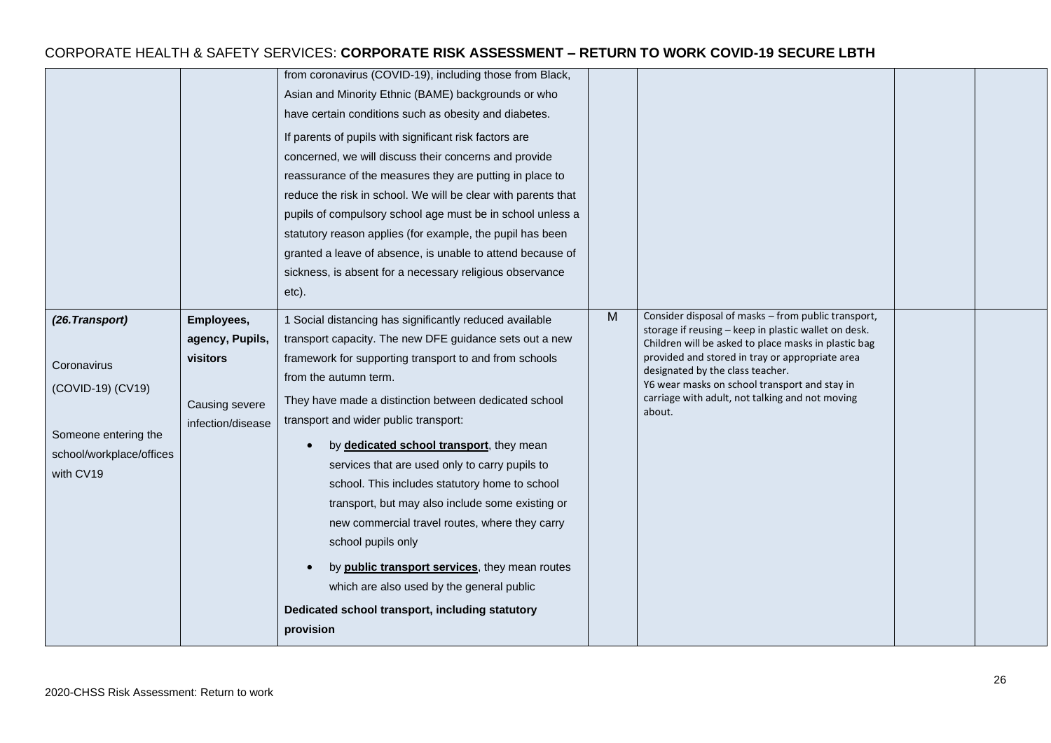|                                                                                                                      |                                                                                  | from coronavirus (COVID-19), including those from Black,<br>Asian and Minority Ethnic (BAME) backgrounds or who<br>have certain conditions such as obesity and diabetes.<br>If parents of pupils with significant risk factors are<br>concerned, we will discuss their concerns and provide<br>reassurance of the measures they are putting in place to<br>reduce the risk in school. We will be clear with parents that<br>pupils of compulsory school age must be in school unless a<br>statutory reason applies (for example, the pupil has been<br>granted a leave of absence, is unable to attend because of<br>sickness, is absent for a necessary religious observance<br>etc).                                                             |   |                                                                                                                                                                                                                                                                                                                                                                          |  |
|----------------------------------------------------------------------------------------------------------------------|----------------------------------------------------------------------------------|----------------------------------------------------------------------------------------------------------------------------------------------------------------------------------------------------------------------------------------------------------------------------------------------------------------------------------------------------------------------------------------------------------------------------------------------------------------------------------------------------------------------------------------------------------------------------------------------------------------------------------------------------------------------------------------------------------------------------------------------------|---|--------------------------------------------------------------------------------------------------------------------------------------------------------------------------------------------------------------------------------------------------------------------------------------------------------------------------------------------------------------------------|--|
| (26. Transport)<br>Coronavirus<br>(COVID-19) (CV19)<br>Someone entering the<br>school/workplace/offices<br>with CV19 | Employees,<br>agency, Pupils,<br>visitors<br>Causing severe<br>infection/disease | 1 Social distancing has significantly reduced available<br>transport capacity. The new DFE guidance sets out a new<br>framework for supporting transport to and from schools<br>from the autumn term.<br>They have made a distinction between dedicated school<br>transport and wider public transport:<br>by dedicated school transport, they mean<br>services that are used only to carry pupils to<br>school. This includes statutory home to school<br>transport, but may also include some existing or<br>new commercial travel routes, where they carry<br>school pupils only<br>by public transport services, they mean routes<br>which are also used by the general public<br>Dedicated school transport, including statutory<br>provision | M | Consider disposal of masks - from public transport,<br>storage if reusing - keep in plastic wallet on desk.<br>Children will be asked to place masks in plastic bag<br>provided and stored in tray or appropriate area<br>designated by the class teacher.<br>Y6 wear masks on school transport and stay in<br>carriage with adult, not talking and not moving<br>about. |  |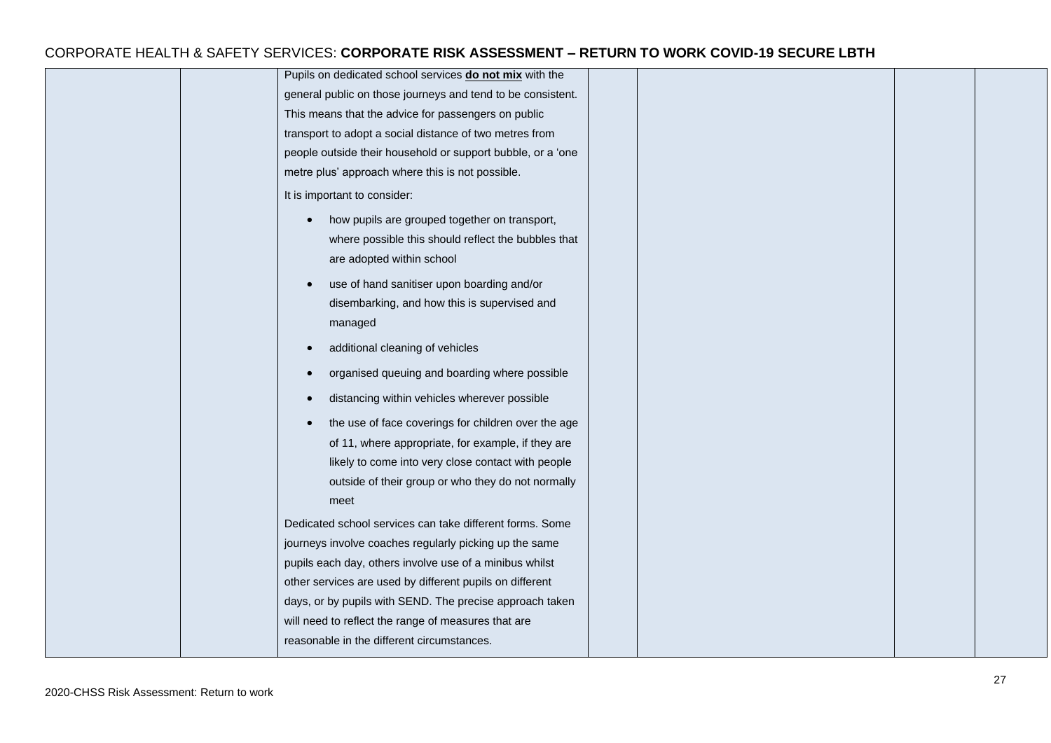| Pupils on dedicated school services do not mix with the     |  |  |
|-------------------------------------------------------------|--|--|
| general public on those journeys and tend to be consistent. |  |  |
| This means that the advice for passengers on public         |  |  |
| transport to adopt a social distance of two metres from     |  |  |
| people outside their household or support bubble, or a 'one |  |  |
| metre plus' approach where this is not possible.            |  |  |
| It is important to consider:                                |  |  |
| how pupils are grouped together on transport,<br>$\bullet$  |  |  |
| where possible this should reflect the bubbles that         |  |  |
| are adopted within school                                   |  |  |
| use of hand sanitiser upon boarding and/or<br>$\bullet$     |  |  |
| disembarking, and how this is supervised and                |  |  |
| managed                                                     |  |  |
| additional cleaning of vehicles                             |  |  |
| organised queuing and boarding where possible               |  |  |
| distancing within vehicles wherever possible                |  |  |
| the use of face coverings for children over the age         |  |  |
| of 11, where appropriate, for example, if they are          |  |  |
| likely to come into very close contact with people          |  |  |
| outside of their group or who they do not normally          |  |  |
| meet                                                        |  |  |
| Dedicated school services can take different forms. Some    |  |  |
| journeys involve coaches regularly picking up the same      |  |  |
| pupils each day, others involve use of a minibus whilst     |  |  |
| other services are used by different pupils on different    |  |  |
| days, or by pupils with SEND. The precise approach taken    |  |  |
| will need to reflect the range of measures that are         |  |  |
| reasonable in the different circumstances.                  |  |  |
|                                                             |  |  |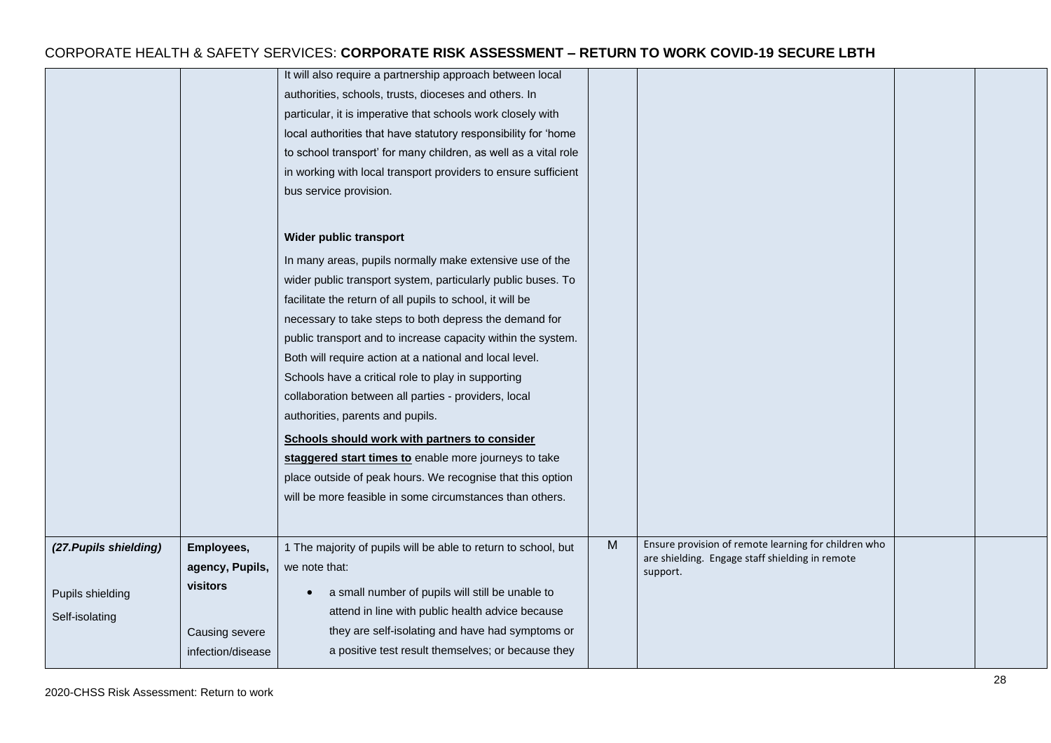|                        |                   | It will also require a partnership approach between local       |   |                                                      |  |
|------------------------|-------------------|-----------------------------------------------------------------|---|------------------------------------------------------|--|
|                        |                   | authorities, schools, trusts, dioceses and others. In           |   |                                                      |  |
|                        |                   | particular, it is imperative that schools work closely with     |   |                                                      |  |
|                        |                   | local authorities that have statutory responsibility for 'home  |   |                                                      |  |
|                        |                   | to school transport' for many children, as well as a vital role |   |                                                      |  |
|                        |                   | in working with local transport providers to ensure sufficient  |   |                                                      |  |
|                        |                   | bus service provision.                                          |   |                                                      |  |
|                        |                   |                                                                 |   |                                                      |  |
|                        |                   | Wider public transport                                          |   |                                                      |  |
|                        |                   | In many areas, pupils normally make extensive use of the        |   |                                                      |  |
|                        |                   | wider public transport system, particularly public buses. To    |   |                                                      |  |
|                        |                   | facilitate the return of all pupils to school, it will be       |   |                                                      |  |
|                        |                   | necessary to take steps to both depress the demand for          |   |                                                      |  |
|                        |                   | public transport and to increase capacity within the system.    |   |                                                      |  |
|                        |                   | Both will require action at a national and local level.         |   |                                                      |  |
|                        |                   | Schools have a critical role to play in supporting              |   |                                                      |  |
|                        |                   | collaboration between all parties - providers, local            |   |                                                      |  |
|                        |                   | authorities, parents and pupils.                                |   |                                                      |  |
|                        |                   | Schools should work with partners to consider                   |   |                                                      |  |
|                        |                   | staggered start times to enable more journeys to take           |   |                                                      |  |
|                        |                   | place outside of peak hours. We recognise that this option      |   |                                                      |  |
|                        |                   | will be more feasible in some circumstances than others.        |   |                                                      |  |
|                        |                   |                                                                 |   |                                                      |  |
| (27. Pupils shielding) | Employees,        | 1 The majority of pupils will be able to return to school, but  | M | Ensure provision of remote learning for children who |  |
|                        | agency, Pupils,   | we note that:                                                   |   | are shielding. Engage staff shielding in remote      |  |
|                        | visitors          |                                                                 |   | support.                                             |  |
| Pupils shielding       |                   | a small number of pupils will still be unable to<br>$\bullet$   |   |                                                      |  |
| Self-isolating         |                   | attend in line with public health advice because                |   |                                                      |  |
|                        | Causing severe    | they are self-isolating and have had symptoms or                |   |                                                      |  |
|                        | infection/disease | a positive test result themselves; or because they              |   |                                                      |  |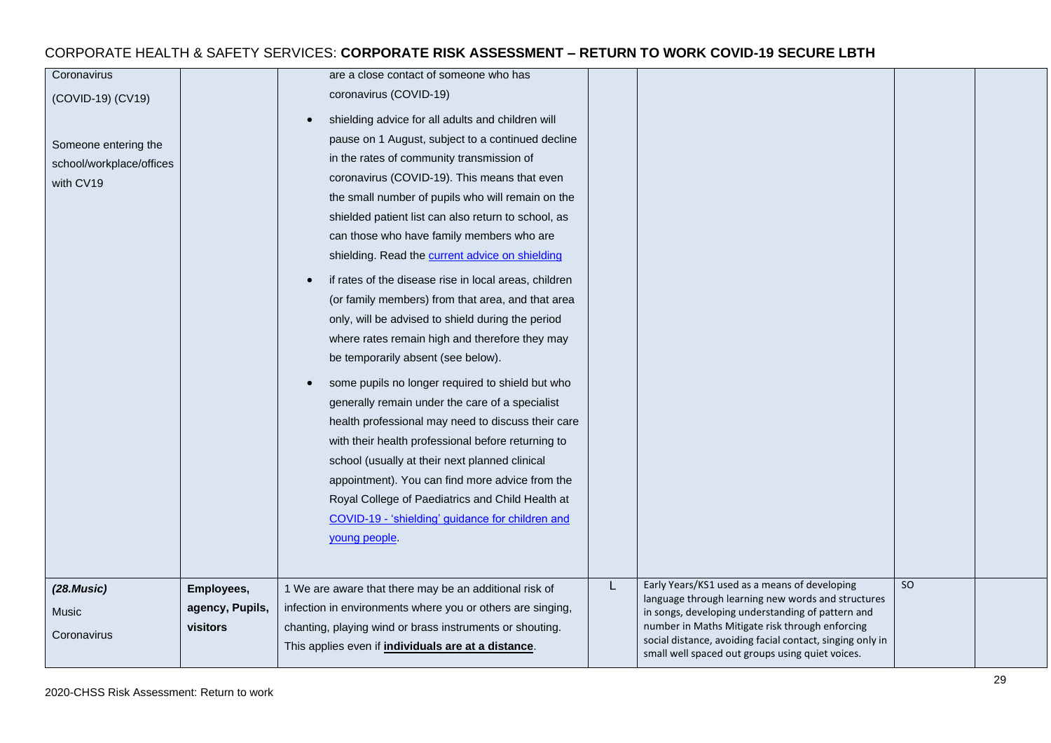| Coronavirus              |                 | are a close contact of someone who has                     |                                                                                                              |    |  |
|--------------------------|-----------------|------------------------------------------------------------|--------------------------------------------------------------------------------------------------------------|----|--|
| (COVID-19) (CV19)        |                 | coronavirus (COVID-19)                                     |                                                                                                              |    |  |
|                          |                 | shielding advice for all adults and children will          |                                                                                                              |    |  |
| Someone entering the     |                 | pause on 1 August, subject to a continued decline          |                                                                                                              |    |  |
| school/workplace/offices |                 | in the rates of community transmission of                  |                                                                                                              |    |  |
| with CV19                |                 | coronavirus (COVID-19). This means that even               |                                                                                                              |    |  |
|                          |                 | the small number of pupils who will remain on the          |                                                                                                              |    |  |
|                          |                 | shielded patient list can also return to school, as        |                                                                                                              |    |  |
|                          |                 | can those who have family members who are                  |                                                                                                              |    |  |
|                          |                 | shielding. Read the current advice on shielding            |                                                                                                              |    |  |
|                          |                 | if rates of the disease rise in local areas, children      |                                                                                                              |    |  |
|                          |                 | (or family members) from that area, and that area          |                                                                                                              |    |  |
|                          |                 | only, will be advised to shield during the period          |                                                                                                              |    |  |
|                          |                 | where rates remain high and therefore they may             |                                                                                                              |    |  |
|                          |                 | be temporarily absent (see below).                         |                                                                                                              |    |  |
|                          |                 | some pupils no longer required to shield but who           |                                                                                                              |    |  |
|                          |                 | generally remain under the care of a specialist            |                                                                                                              |    |  |
|                          |                 | health professional may need to discuss their care         |                                                                                                              |    |  |
|                          |                 | with their health professional before returning to         |                                                                                                              |    |  |
|                          |                 | school (usually at their next planned clinical             |                                                                                                              |    |  |
|                          |                 | appointment). You can find more advice from the            |                                                                                                              |    |  |
|                          |                 | Royal College of Paediatrics and Child Health at           |                                                                                                              |    |  |
|                          |                 | COVID-19 - 'shielding' guidance for children and           |                                                                                                              |    |  |
|                          |                 | young people.                                              |                                                                                                              |    |  |
|                          |                 |                                                            |                                                                                                              |    |  |
|                          |                 |                                                            | Early Years/KS1 used as a means of developing                                                                | SO |  |
| (28.Music)               | Employees,      | 1 We are aware that there may be an additional risk of     | language through learning new words and structures                                                           |    |  |
| Music                    | agency, Pupils, | infection in environments where you or others are singing, | in songs, developing understanding of pattern and                                                            |    |  |
| Coronavirus              | visitors        | chanting, playing wind or brass instruments or shouting.   | number in Maths Mitigate risk through enforcing<br>social distance, avoiding facial contact, singing only in |    |  |
|                          |                 | This applies even if individuals are at a distance.        | small well spaced out groups using quiet voices.                                                             |    |  |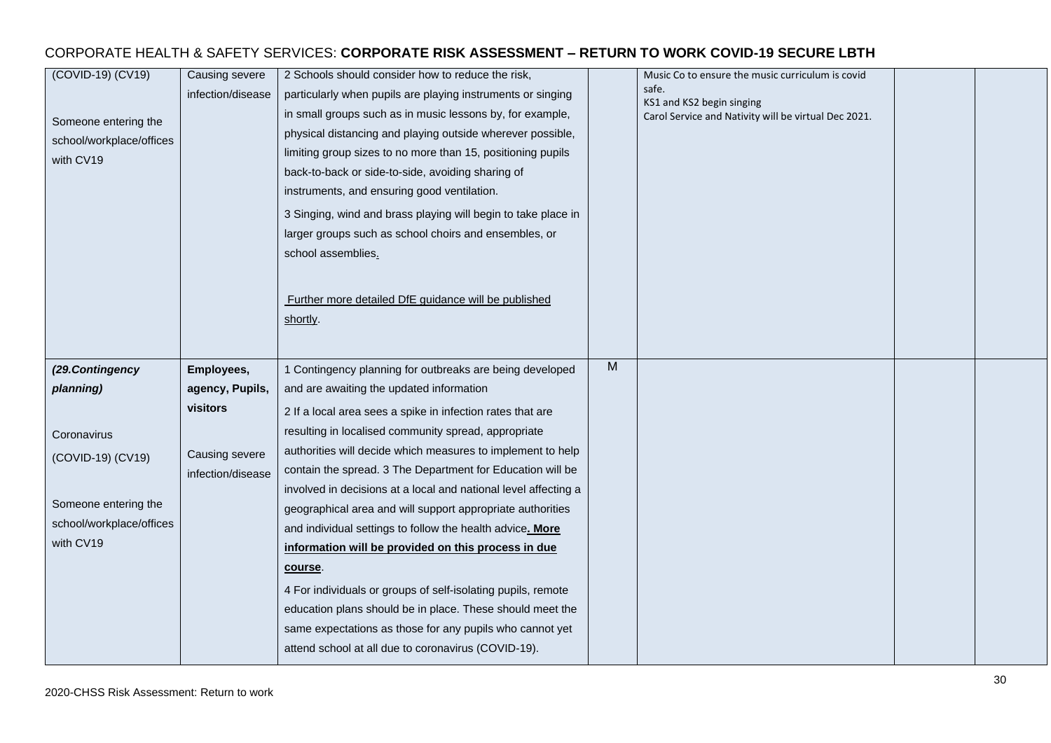| (COVID-19) (CV19)<br>Someone entering the<br>school/workplace/offices<br>with CV19 | Causing severe<br>infection/disease | 2 Schools should consider how to reduce the risk,<br>particularly when pupils are playing instruments or singing<br>in small groups such as in music lessons by, for example,<br>physical distancing and playing outside wherever possible,<br>limiting group sizes to no more than 15, positioning pupils<br>back-to-back or side-to-side, avoiding sharing of<br>instruments, and ensuring good ventilation.<br>3 Singing, wind and brass playing will begin to take place in<br>larger groups such as school choirs and ensembles, or<br>school assemblies.<br>Further more detailed DfE guidance will be published<br>shortly. |   | Music Co to ensure the music curriculum is covid<br>safe.<br>KS1 and KS2 begin singing<br>Carol Service and Nativity will be virtual Dec 2021. |  |
|------------------------------------------------------------------------------------|-------------------------------------|------------------------------------------------------------------------------------------------------------------------------------------------------------------------------------------------------------------------------------------------------------------------------------------------------------------------------------------------------------------------------------------------------------------------------------------------------------------------------------------------------------------------------------------------------------------------------------------------------------------------------------|---|------------------------------------------------------------------------------------------------------------------------------------------------|--|
| (29.Contingency                                                                    | Employees,                          | 1 Contingency planning for outbreaks are being developed                                                                                                                                                                                                                                                                                                                                                                                                                                                                                                                                                                           | M |                                                                                                                                                |  |
| planning)                                                                          | agency, Pupils,                     | and are awaiting the updated information                                                                                                                                                                                                                                                                                                                                                                                                                                                                                                                                                                                           |   |                                                                                                                                                |  |
|                                                                                    | visitors                            | 2 If a local area sees a spike in infection rates that are                                                                                                                                                                                                                                                                                                                                                                                                                                                                                                                                                                         |   |                                                                                                                                                |  |
| Coronavirus                                                                        |                                     | resulting in localised community spread, appropriate                                                                                                                                                                                                                                                                                                                                                                                                                                                                                                                                                                               |   |                                                                                                                                                |  |
| (COVID-19) (CV19)                                                                  | Causing severe                      | authorities will decide which measures to implement to help                                                                                                                                                                                                                                                                                                                                                                                                                                                                                                                                                                        |   |                                                                                                                                                |  |
|                                                                                    | infection/disease                   | contain the spread. 3 The Department for Education will be                                                                                                                                                                                                                                                                                                                                                                                                                                                                                                                                                                         |   |                                                                                                                                                |  |
|                                                                                    |                                     | involved in decisions at a local and national level affecting a                                                                                                                                                                                                                                                                                                                                                                                                                                                                                                                                                                    |   |                                                                                                                                                |  |
| Someone entering the<br>school/workplace/offices                                   |                                     | geographical area and will support appropriate authorities                                                                                                                                                                                                                                                                                                                                                                                                                                                                                                                                                                         |   |                                                                                                                                                |  |
| with CV19                                                                          |                                     | and individual settings to follow the health advice. More                                                                                                                                                                                                                                                                                                                                                                                                                                                                                                                                                                          |   |                                                                                                                                                |  |
|                                                                                    |                                     | information will be provided on this process in due                                                                                                                                                                                                                                                                                                                                                                                                                                                                                                                                                                                |   |                                                                                                                                                |  |
|                                                                                    |                                     | course.                                                                                                                                                                                                                                                                                                                                                                                                                                                                                                                                                                                                                            |   |                                                                                                                                                |  |
|                                                                                    |                                     | 4 For individuals or groups of self-isolating pupils, remote                                                                                                                                                                                                                                                                                                                                                                                                                                                                                                                                                                       |   |                                                                                                                                                |  |
|                                                                                    |                                     | education plans should be in place. These should meet the                                                                                                                                                                                                                                                                                                                                                                                                                                                                                                                                                                          |   |                                                                                                                                                |  |
|                                                                                    |                                     | same expectations as those for any pupils who cannot yet                                                                                                                                                                                                                                                                                                                                                                                                                                                                                                                                                                           |   |                                                                                                                                                |  |
|                                                                                    |                                     | attend school at all due to coronavirus (COVID-19).                                                                                                                                                                                                                                                                                                                                                                                                                                                                                                                                                                                |   |                                                                                                                                                |  |